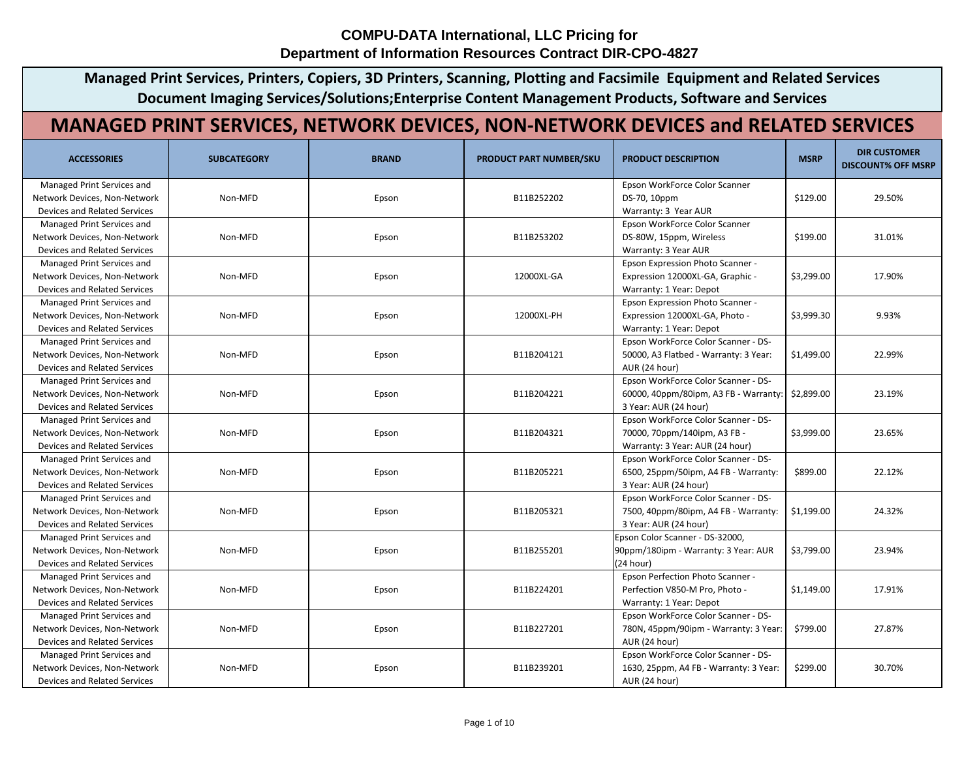**Managed Print Services, Printers, Copiers, 3D Printers, Scanning, Plotting and Facsimile Equipment and Related Services Document Imaging Services/Solutions;Enterprise Content Management Products, Software and Services**

## **MANAGED PRINT SERVICES, NETWORK DEVICES, NON-NETWORK DEVICES and RELATED SERVICES**

| <b>ACCESSORIES</b>                  | <b>SUBCATEGORY</b> | <b>BRAND</b> | <b>PRODUCT PART NUMBER/SKU</b> | <b>PRODUCT DESCRIPTION</b>              | <b>MSRP</b> | <b>DIR CUSTOMER</b><br><b>DISCOUNT% OFF MSRP</b> |
|-------------------------------------|--------------------|--------------|--------------------------------|-----------------------------------------|-------------|--------------------------------------------------|
| Managed Print Services and          |                    |              |                                | Epson WorkForce Color Scanner           |             |                                                  |
| Network Devices, Non-Network        | Non-MFD            | Epson        | B11B252202                     | DS-70, 10ppm                            | \$129.00    | 29.50%                                           |
| <b>Devices and Related Services</b> |                    |              |                                | Warranty: 3 Year AUR                    |             |                                                  |
| Managed Print Services and          |                    |              |                                | Epson WorkForce Color Scanner           |             |                                                  |
| Network Devices, Non-Network        | Non-MFD            | Epson        | B11B253202                     | DS-80W, 15ppm, Wireless                 | \$199.00    | 31.01%                                           |
| <b>Devices and Related Services</b> |                    |              |                                | Warranty: 3 Year AUR                    |             |                                                  |
| Managed Print Services and          |                    |              |                                | Epson Expression Photo Scanner -        |             |                                                  |
| Network Devices, Non-Network        | Non-MFD            | Epson        | 12000XL-GA                     | Expression 12000XL-GA, Graphic -        | \$3,299.00  | 17.90%                                           |
| <b>Devices and Related Services</b> |                    |              |                                | Warranty: 1 Year: Depot                 |             |                                                  |
| Managed Print Services and          |                    |              |                                | <b>Epson Expression Photo Scanner -</b> |             |                                                  |
| Network Devices, Non-Network        | Non-MFD            | Epson        | 12000XL-PH                     | Expression 12000XL-GA, Photo -          | \$3,999.30  | 9.93%                                            |
| <b>Devices and Related Services</b> |                    |              |                                | Warranty: 1 Year: Depot                 |             |                                                  |
| Managed Print Services and          |                    |              |                                | Epson WorkForce Color Scanner - DS-     |             |                                                  |
| Network Devices, Non-Network        | Non-MFD            | Epson        | B11B204121                     | 50000, A3 Flatbed - Warranty: 3 Year:   | \$1,499.00  | 22.99%                                           |
| <b>Devices and Related Services</b> |                    |              |                                | AUR (24 hour)                           |             |                                                  |
| Managed Print Services and          |                    |              |                                | Epson WorkForce Color Scanner - DS-     |             |                                                  |
| Network Devices, Non-Network        | Non-MFD            | Epson        | B11B204221                     | 60000, 40ppm/80ipm, A3 FB - Warranty:   | \$2,899.00  | 23.19%                                           |
| <b>Devices and Related Services</b> |                    |              |                                | 3 Year: AUR (24 hour)                   |             |                                                  |
| Managed Print Services and          |                    |              |                                | Epson WorkForce Color Scanner - DS-     |             |                                                  |
| Network Devices, Non-Network        | Non-MFD            | Epson        | B11B204321                     | 70000, 70ppm/140ipm, A3 FB -            | \$3,999.00  | 23.65%                                           |
| <b>Devices and Related Services</b> |                    |              |                                | Warranty: 3 Year: AUR (24 hour)         |             |                                                  |
| Managed Print Services and          |                    |              |                                | Epson WorkForce Color Scanner - DS-     |             |                                                  |
| Network Devices, Non-Network        | Non-MFD            | Epson        | B11B205221                     | 6500, 25ppm/50ipm, A4 FB - Warranty:    | \$899.00    | 22.12%                                           |
| <b>Devices and Related Services</b> |                    |              |                                | 3 Year: AUR (24 hour)                   |             |                                                  |
| Managed Print Services and          |                    |              |                                | Epson WorkForce Color Scanner - DS-     |             |                                                  |
| Network Devices, Non-Network        | Non-MFD            | Epson        | B11B205321                     | 7500, 40ppm/80ipm, A4 FB - Warranty:    | \$1,199.00  | 24.32%                                           |
| <b>Devices and Related Services</b> |                    |              |                                | 3 Year: AUR (24 hour)                   |             |                                                  |
| Managed Print Services and          |                    |              |                                | Epson Color Scanner - DS-32000,         |             |                                                  |
| Network Devices, Non-Network        | Non-MFD            | Epson        | B11B255201                     | 90ppm/180ipm - Warranty: 3 Year: AUR    | \$3,799.00  | 23.94%                                           |
| Devices and Related Services        |                    |              |                                | (24 hour)                               |             |                                                  |
| Managed Print Services and          |                    |              |                                | Epson Perfection Photo Scanner -        |             |                                                  |
| Network Devices, Non-Network        | Non-MFD            | Epson        | B11B224201                     | Perfection V850-M Pro, Photo -          | \$1,149.00  | 17.91%                                           |
| <b>Devices and Related Services</b> |                    |              |                                | Warranty: 1 Year: Depot                 |             |                                                  |
| Managed Print Services and          |                    |              |                                | Epson WorkForce Color Scanner - DS-     |             |                                                  |
| Network Devices, Non-Network        | Non-MFD            | Epson        | B11B227201                     | 780N, 45ppm/90ipm - Warranty: 3 Year:   | \$799.00    | 27.87%                                           |
| Devices and Related Services        |                    |              |                                | AUR (24 hour)                           |             |                                                  |
| Managed Print Services and          |                    |              |                                | Epson WorkForce Color Scanner - DS-     |             |                                                  |
| Network Devices, Non-Network        | Non-MFD            | Epson        | B11B239201                     | 1630, 25ppm, A4 FB - Warranty: 3 Year:  | \$299.00    | 30.70%                                           |
| <b>Devices and Related Services</b> |                    |              |                                | AUR (24 hour)                           |             |                                                  |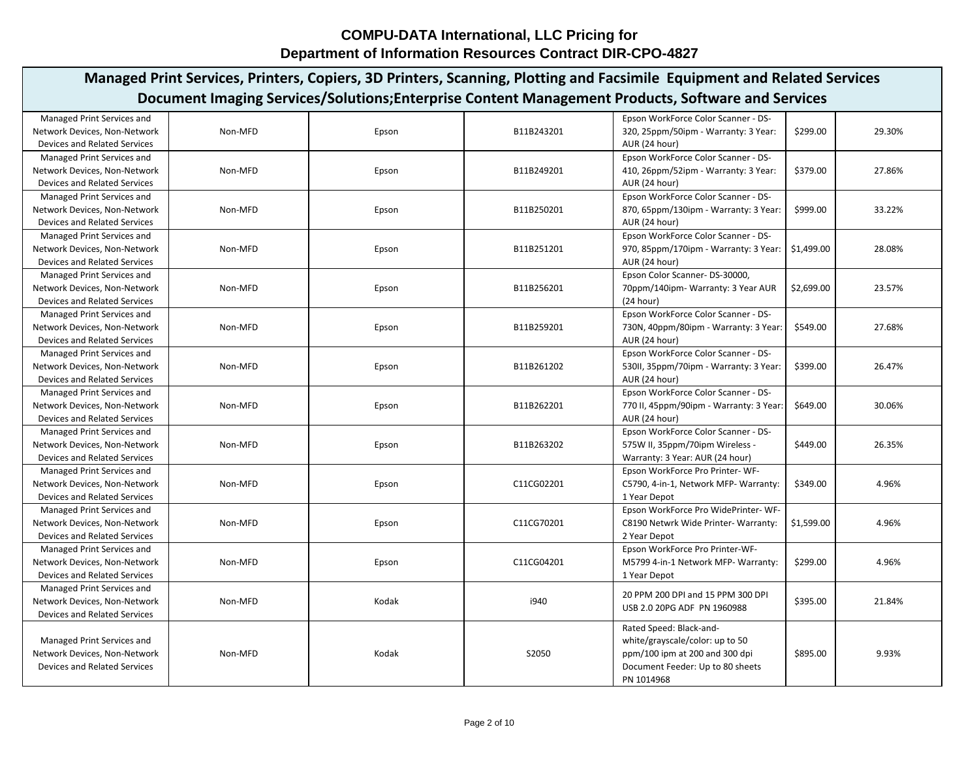| Document Imaging Services/Solutions;Enterprise Content Management Products, Software and Services<br>Managed Print Services and<br>Epson WorkForce Color Scanner - DS-<br>\$299.00<br>29.30%<br>Non-MFD<br>B11B243201<br>320, 25ppm/50ipm - Warranty: 3 Year:<br>Network Devices, Non-Network<br>Epson<br>Devices and Related Services<br>AUR (24 hour)<br>Epson WorkForce Color Scanner - DS-<br>Managed Print Services and<br>Network Devices, Non-Network<br>Non-MFD<br>\$379.00<br>27.86%<br>Epson<br>B11B249201<br>410, 26ppm/52ipm - Warranty: 3 Year:<br><b>Devices and Related Services</b><br>AUR (24 hour)<br>Epson WorkForce Color Scanner - DS-<br>Managed Print Services and<br>870, 65ppm/130ipm - Warranty: 3 Year:<br>33.22%<br>Network Devices, Non-Network<br>Non-MFD<br>B11B250201<br>\$999.00<br>Epson<br>AUR (24 hour)<br>Devices and Related Services<br>Epson WorkForce Color Scanner - DS-<br>Managed Print Services and<br>\$1,499.00<br>28.08%<br>Network Devices, Non-Network<br>Non-MFD<br>B11B251201<br>970, 85ppm/170ipm - Warranty: 3 Year:  <br>Epson<br>Devices and Related Services<br>AUR (24 hour)<br>Managed Print Services and<br>Epson Color Scanner-DS-30000,<br>Network Devices, Non-Network<br>\$2,699.00<br>23.57%<br>Non-MFD<br>Epson<br>B11B256201<br>70ppm/140ipm-Warranty: 3 Year AUR<br><b>Devices and Related Services</b><br>(24 hour)<br>Epson WorkForce Color Scanner - DS-<br>Managed Print Services and<br>Non-MFD<br>730N, 40ppm/80ipm - Warranty: 3 Year:<br>27.68%<br>Network Devices, Non-Network<br>Epson<br>B11B259201<br>\$549.00<br>AUR (24 hour)<br>Devices and Related Services<br>Epson WorkForce Color Scanner - DS-<br>Managed Print Services and<br>Non-MFD<br>\$399.00<br>26.47%<br>Network Devices, Non-Network<br>B11B261202<br>530II, 35ppm/70ipm - Warranty: 3 Year:<br>Epson<br>Devices and Related Services<br>AUR (24 hour)<br>Epson WorkForce Color Scanner - DS-<br>Managed Print Services and<br>770 II, 45ppm/90ipm - Warranty: 3 Year:<br>\$649.00<br>30.06%<br>Network Devices, Non-Network<br>Non-MFD<br>Epson<br>B11B262201<br><b>Devices and Related Services</b><br>AUR (24 hour)<br>Epson WorkForce Color Scanner - DS-<br>Managed Print Services and<br>Network Devices, Non-Network<br>Non-MFD<br>B11B263202<br>575W II, 35ppm/70ipm Wireless -<br>\$449.00<br>26.35%<br>Epson<br>Devices and Related Services<br>Warranty: 3 Year: AUR (24 hour)<br>Managed Print Services and<br>Epson WorkForce Pro Printer-WF-<br>4.96%<br>Network Devices, Non-Network<br>Non-MFD<br>C11CG02201<br>\$349.00<br>Epson<br>C5790, 4-in-1, Network MFP- Warranty:<br><b>Devices and Related Services</b><br>1 Year Depot<br>Epson WorkForce Pro WidePrinter- WF-<br>Managed Print Services and<br>4.96%<br>Non-MFD<br>C11CG70201<br>\$1,599.00<br>Network Devices, Non-Network<br>Epson<br>C8190 Netwrk Wide Printer- Warranty:<br><b>Devices and Related Services</b><br>2 Year Depot<br>Epson WorkForce Pro Printer-WF-<br>Managed Print Services and<br>Network Devices, Non-Network<br>Non-MFD<br>C11CG04201<br>\$299.00<br>4.96%<br>Epson<br>M5799 4-in-1 Network MFP- Warranty:<br>Devices and Related Services<br>1 Year Depot<br>Managed Print Services and<br>20 PPM 200 DPI and 15 PPM 300 DPI<br>Kodak<br>i940<br>21.84%<br>Network Devices, Non-Network<br>Non-MFD<br>\$395.00<br>USB 2.0 20PG ADF PN 1960988<br><b>Devices and Related Services</b><br>Rated Speed: Black-and-<br>white/grayscale/color: up to 50<br>Managed Print Services and<br>9.93%<br>Network Devices, Non-Network<br>Non-MFD<br>Kodak<br>S2050<br>ppm/100 ipm at 200 and 300 dpi<br>\$895.00<br><b>Devices and Related Services</b><br>Document Feeder: Up to 80 sheets<br>PN 1014968 |  |  | Managed Print Services, Printers, Copiers, 3D Printers, Scanning, Plotting and Facsimile Equipment and Related Services |  |
|-----------------------------------------------------------------------------------------------------------------------------------------------------------------------------------------------------------------------------------------------------------------------------------------------------------------------------------------------------------------------------------------------------------------------------------------------------------------------------------------------------------------------------------------------------------------------------------------------------------------------------------------------------------------------------------------------------------------------------------------------------------------------------------------------------------------------------------------------------------------------------------------------------------------------------------------------------------------------------------------------------------------------------------------------------------------------------------------------------------------------------------------------------------------------------------------------------------------------------------------------------------------------------------------------------------------------------------------------------------------------------------------------------------------------------------------------------------------------------------------------------------------------------------------------------------------------------------------------------------------------------------------------------------------------------------------------------------------------------------------------------------------------------------------------------------------------------------------------------------------------------------------------------------------------------------------------------------------------------------------------------------------------------------------------------------------------------------------------------------------------------------------------------------------------------------------------------------------------------------------------------------------------------------------------------------------------------------------------------------------------------------------------------------------------------------------------------------------------------------------------------------------------------------------------------------------------------------------------------------------------------------------------------------------------------------------------------------------------------------------------------------------------------------------------------------------------------------------------------------------------------------------------------------------------------------------------------------------------------------------------------------------------------------------------------------------------------------------------------------------------------------------------------------------------------------------------------------------------------------------------------------------------------------------------------------------------------------------------------------------------------------------------------------------------------------------------------------------------------------------------------------------------------------------------------------------------------------------------------------------------------------------------------------------------------------------------------------------------------------------------------|--|--|-------------------------------------------------------------------------------------------------------------------------|--|
|                                                                                                                                                                                                                                                                                                                                                                                                                                                                                                                                                                                                                                                                                                                                                                                                                                                                                                                                                                                                                                                                                                                                                                                                                                                                                                                                                                                                                                                                                                                                                                                                                                                                                                                                                                                                                                                                                                                                                                                                                                                                                                                                                                                                                                                                                                                                                                                                                                                                                                                                                                                                                                                                                                                                                                                                                                                                                                                                                                                                                                                                                                                                                                                                                                                                                                                                                                                                                                                                                                                                                                                                                                                                                                                                                     |  |  |                                                                                                                         |  |
|                                                                                                                                                                                                                                                                                                                                                                                                                                                                                                                                                                                                                                                                                                                                                                                                                                                                                                                                                                                                                                                                                                                                                                                                                                                                                                                                                                                                                                                                                                                                                                                                                                                                                                                                                                                                                                                                                                                                                                                                                                                                                                                                                                                                                                                                                                                                                                                                                                                                                                                                                                                                                                                                                                                                                                                                                                                                                                                                                                                                                                                                                                                                                                                                                                                                                                                                                                                                                                                                                                                                                                                                                                                                                                                                                     |  |  |                                                                                                                         |  |
|                                                                                                                                                                                                                                                                                                                                                                                                                                                                                                                                                                                                                                                                                                                                                                                                                                                                                                                                                                                                                                                                                                                                                                                                                                                                                                                                                                                                                                                                                                                                                                                                                                                                                                                                                                                                                                                                                                                                                                                                                                                                                                                                                                                                                                                                                                                                                                                                                                                                                                                                                                                                                                                                                                                                                                                                                                                                                                                                                                                                                                                                                                                                                                                                                                                                                                                                                                                                                                                                                                                                                                                                                                                                                                                                                     |  |  |                                                                                                                         |  |
|                                                                                                                                                                                                                                                                                                                                                                                                                                                                                                                                                                                                                                                                                                                                                                                                                                                                                                                                                                                                                                                                                                                                                                                                                                                                                                                                                                                                                                                                                                                                                                                                                                                                                                                                                                                                                                                                                                                                                                                                                                                                                                                                                                                                                                                                                                                                                                                                                                                                                                                                                                                                                                                                                                                                                                                                                                                                                                                                                                                                                                                                                                                                                                                                                                                                                                                                                                                                                                                                                                                                                                                                                                                                                                                                                     |  |  |                                                                                                                         |  |
|                                                                                                                                                                                                                                                                                                                                                                                                                                                                                                                                                                                                                                                                                                                                                                                                                                                                                                                                                                                                                                                                                                                                                                                                                                                                                                                                                                                                                                                                                                                                                                                                                                                                                                                                                                                                                                                                                                                                                                                                                                                                                                                                                                                                                                                                                                                                                                                                                                                                                                                                                                                                                                                                                                                                                                                                                                                                                                                                                                                                                                                                                                                                                                                                                                                                                                                                                                                                                                                                                                                                                                                                                                                                                                                                                     |  |  |                                                                                                                         |  |
|                                                                                                                                                                                                                                                                                                                                                                                                                                                                                                                                                                                                                                                                                                                                                                                                                                                                                                                                                                                                                                                                                                                                                                                                                                                                                                                                                                                                                                                                                                                                                                                                                                                                                                                                                                                                                                                                                                                                                                                                                                                                                                                                                                                                                                                                                                                                                                                                                                                                                                                                                                                                                                                                                                                                                                                                                                                                                                                                                                                                                                                                                                                                                                                                                                                                                                                                                                                                                                                                                                                                                                                                                                                                                                                                                     |  |  |                                                                                                                         |  |
|                                                                                                                                                                                                                                                                                                                                                                                                                                                                                                                                                                                                                                                                                                                                                                                                                                                                                                                                                                                                                                                                                                                                                                                                                                                                                                                                                                                                                                                                                                                                                                                                                                                                                                                                                                                                                                                                                                                                                                                                                                                                                                                                                                                                                                                                                                                                                                                                                                                                                                                                                                                                                                                                                                                                                                                                                                                                                                                                                                                                                                                                                                                                                                                                                                                                                                                                                                                                                                                                                                                                                                                                                                                                                                                                                     |  |  |                                                                                                                         |  |
|                                                                                                                                                                                                                                                                                                                                                                                                                                                                                                                                                                                                                                                                                                                                                                                                                                                                                                                                                                                                                                                                                                                                                                                                                                                                                                                                                                                                                                                                                                                                                                                                                                                                                                                                                                                                                                                                                                                                                                                                                                                                                                                                                                                                                                                                                                                                                                                                                                                                                                                                                                                                                                                                                                                                                                                                                                                                                                                                                                                                                                                                                                                                                                                                                                                                                                                                                                                                                                                                                                                                                                                                                                                                                                                                                     |  |  |                                                                                                                         |  |
|                                                                                                                                                                                                                                                                                                                                                                                                                                                                                                                                                                                                                                                                                                                                                                                                                                                                                                                                                                                                                                                                                                                                                                                                                                                                                                                                                                                                                                                                                                                                                                                                                                                                                                                                                                                                                                                                                                                                                                                                                                                                                                                                                                                                                                                                                                                                                                                                                                                                                                                                                                                                                                                                                                                                                                                                                                                                                                                                                                                                                                                                                                                                                                                                                                                                                                                                                                                                                                                                                                                                                                                                                                                                                                                                                     |  |  |                                                                                                                         |  |
|                                                                                                                                                                                                                                                                                                                                                                                                                                                                                                                                                                                                                                                                                                                                                                                                                                                                                                                                                                                                                                                                                                                                                                                                                                                                                                                                                                                                                                                                                                                                                                                                                                                                                                                                                                                                                                                                                                                                                                                                                                                                                                                                                                                                                                                                                                                                                                                                                                                                                                                                                                                                                                                                                                                                                                                                                                                                                                                                                                                                                                                                                                                                                                                                                                                                                                                                                                                                                                                                                                                                                                                                                                                                                                                                                     |  |  |                                                                                                                         |  |
|                                                                                                                                                                                                                                                                                                                                                                                                                                                                                                                                                                                                                                                                                                                                                                                                                                                                                                                                                                                                                                                                                                                                                                                                                                                                                                                                                                                                                                                                                                                                                                                                                                                                                                                                                                                                                                                                                                                                                                                                                                                                                                                                                                                                                                                                                                                                                                                                                                                                                                                                                                                                                                                                                                                                                                                                                                                                                                                                                                                                                                                                                                                                                                                                                                                                                                                                                                                                                                                                                                                                                                                                                                                                                                                                                     |  |  |                                                                                                                         |  |
|                                                                                                                                                                                                                                                                                                                                                                                                                                                                                                                                                                                                                                                                                                                                                                                                                                                                                                                                                                                                                                                                                                                                                                                                                                                                                                                                                                                                                                                                                                                                                                                                                                                                                                                                                                                                                                                                                                                                                                                                                                                                                                                                                                                                                                                                                                                                                                                                                                                                                                                                                                                                                                                                                                                                                                                                                                                                                                                                                                                                                                                                                                                                                                                                                                                                                                                                                                                                                                                                                                                                                                                                                                                                                                                                                     |  |  |                                                                                                                         |  |
|                                                                                                                                                                                                                                                                                                                                                                                                                                                                                                                                                                                                                                                                                                                                                                                                                                                                                                                                                                                                                                                                                                                                                                                                                                                                                                                                                                                                                                                                                                                                                                                                                                                                                                                                                                                                                                                                                                                                                                                                                                                                                                                                                                                                                                                                                                                                                                                                                                                                                                                                                                                                                                                                                                                                                                                                                                                                                                                                                                                                                                                                                                                                                                                                                                                                                                                                                                                                                                                                                                                                                                                                                                                                                                                                                     |  |  |                                                                                                                         |  |
|                                                                                                                                                                                                                                                                                                                                                                                                                                                                                                                                                                                                                                                                                                                                                                                                                                                                                                                                                                                                                                                                                                                                                                                                                                                                                                                                                                                                                                                                                                                                                                                                                                                                                                                                                                                                                                                                                                                                                                                                                                                                                                                                                                                                                                                                                                                                                                                                                                                                                                                                                                                                                                                                                                                                                                                                                                                                                                                                                                                                                                                                                                                                                                                                                                                                                                                                                                                                                                                                                                                                                                                                                                                                                                                                                     |  |  |                                                                                                                         |  |
|                                                                                                                                                                                                                                                                                                                                                                                                                                                                                                                                                                                                                                                                                                                                                                                                                                                                                                                                                                                                                                                                                                                                                                                                                                                                                                                                                                                                                                                                                                                                                                                                                                                                                                                                                                                                                                                                                                                                                                                                                                                                                                                                                                                                                                                                                                                                                                                                                                                                                                                                                                                                                                                                                                                                                                                                                                                                                                                                                                                                                                                                                                                                                                                                                                                                                                                                                                                                                                                                                                                                                                                                                                                                                                                                                     |  |  |                                                                                                                         |  |
|                                                                                                                                                                                                                                                                                                                                                                                                                                                                                                                                                                                                                                                                                                                                                                                                                                                                                                                                                                                                                                                                                                                                                                                                                                                                                                                                                                                                                                                                                                                                                                                                                                                                                                                                                                                                                                                                                                                                                                                                                                                                                                                                                                                                                                                                                                                                                                                                                                                                                                                                                                                                                                                                                                                                                                                                                                                                                                                                                                                                                                                                                                                                                                                                                                                                                                                                                                                                                                                                                                                                                                                                                                                                                                                                                     |  |  |                                                                                                                         |  |
|                                                                                                                                                                                                                                                                                                                                                                                                                                                                                                                                                                                                                                                                                                                                                                                                                                                                                                                                                                                                                                                                                                                                                                                                                                                                                                                                                                                                                                                                                                                                                                                                                                                                                                                                                                                                                                                                                                                                                                                                                                                                                                                                                                                                                                                                                                                                                                                                                                                                                                                                                                                                                                                                                                                                                                                                                                                                                                                                                                                                                                                                                                                                                                                                                                                                                                                                                                                                                                                                                                                                                                                                                                                                                                                                                     |  |  |                                                                                                                         |  |
|                                                                                                                                                                                                                                                                                                                                                                                                                                                                                                                                                                                                                                                                                                                                                                                                                                                                                                                                                                                                                                                                                                                                                                                                                                                                                                                                                                                                                                                                                                                                                                                                                                                                                                                                                                                                                                                                                                                                                                                                                                                                                                                                                                                                                                                                                                                                                                                                                                                                                                                                                                                                                                                                                                                                                                                                                                                                                                                                                                                                                                                                                                                                                                                                                                                                                                                                                                                                                                                                                                                                                                                                                                                                                                                                                     |  |  |                                                                                                                         |  |
|                                                                                                                                                                                                                                                                                                                                                                                                                                                                                                                                                                                                                                                                                                                                                                                                                                                                                                                                                                                                                                                                                                                                                                                                                                                                                                                                                                                                                                                                                                                                                                                                                                                                                                                                                                                                                                                                                                                                                                                                                                                                                                                                                                                                                                                                                                                                                                                                                                                                                                                                                                                                                                                                                                                                                                                                                                                                                                                                                                                                                                                                                                                                                                                                                                                                                                                                                                                                                                                                                                                                                                                                                                                                                                                                                     |  |  |                                                                                                                         |  |
|                                                                                                                                                                                                                                                                                                                                                                                                                                                                                                                                                                                                                                                                                                                                                                                                                                                                                                                                                                                                                                                                                                                                                                                                                                                                                                                                                                                                                                                                                                                                                                                                                                                                                                                                                                                                                                                                                                                                                                                                                                                                                                                                                                                                                                                                                                                                                                                                                                                                                                                                                                                                                                                                                                                                                                                                                                                                                                                                                                                                                                                                                                                                                                                                                                                                                                                                                                                                                                                                                                                                                                                                                                                                                                                                                     |  |  |                                                                                                                         |  |
|                                                                                                                                                                                                                                                                                                                                                                                                                                                                                                                                                                                                                                                                                                                                                                                                                                                                                                                                                                                                                                                                                                                                                                                                                                                                                                                                                                                                                                                                                                                                                                                                                                                                                                                                                                                                                                                                                                                                                                                                                                                                                                                                                                                                                                                                                                                                                                                                                                                                                                                                                                                                                                                                                                                                                                                                                                                                                                                                                                                                                                                                                                                                                                                                                                                                                                                                                                                                                                                                                                                                                                                                                                                                                                                                                     |  |  |                                                                                                                         |  |
|                                                                                                                                                                                                                                                                                                                                                                                                                                                                                                                                                                                                                                                                                                                                                                                                                                                                                                                                                                                                                                                                                                                                                                                                                                                                                                                                                                                                                                                                                                                                                                                                                                                                                                                                                                                                                                                                                                                                                                                                                                                                                                                                                                                                                                                                                                                                                                                                                                                                                                                                                                                                                                                                                                                                                                                                                                                                                                                                                                                                                                                                                                                                                                                                                                                                                                                                                                                                                                                                                                                                                                                                                                                                                                                                                     |  |  |                                                                                                                         |  |
|                                                                                                                                                                                                                                                                                                                                                                                                                                                                                                                                                                                                                                                                                                                                                                                                                                                                                                                                                                                                                                                                                                                                                                                                                                                                                                                                                                                                                                                                                                                                                                                                                                                                                                                                                                                                                                                                                                                                                                                                                                                                                                                                                                                                                                                                                                                                                                                                                                                                                                                                                                                                                                                                                                                                                                                                                                                                                                                                                                                                                                                                                                                                                                                                                                                                                                                                                                                                                                                                                                                                                                                                                                                                                                                                                     |  |  |                                                                                                                         |  |
|                                                                                                                                                                                                                                                                                                                                                                                                                                                                                                                                                                                                                                                                                                                                                                                                                                                                                                                                                                                                                                                                                                                                                                                                                                                                                                                                                                                                                                                                                                                                                                                                                                                                                                                                                                                                                                                                                                                                                                                                                                                                                                                                                                                                                                                                                                                                                                                                                                                                                                                                                                                                                                                                                                                                                                                                                                                                                                                                                                                                                                                                                                                                                                                                                                                                                                                                                                                                                                                                                                                                                                                                                                                                                                                                                     |  |  |                                                                                                                         |  |
|                                                                                                                                                                                                                                                                                                                                                                                                                                                                                                                                                                                                                                                                                                                                                                                                                                                                                                                                                                                                                                                                                                                                                                                                                                                                                                                                                                                                                                                                                                                                                                                                                                                                                                                                                                                                                                                                                                                                                                                                                                                                                                                                                                                                                                                                                                                                                                                                                                                                                                                                                                                                                                                                                                                                                                                                                                                                                                                                                                                                                                                                                                                                                                                                                                                                                                                                                                                                                                                                                                                                                                                                                                                                                                                                                     |  |  |                                                                                                                         |  |
|                                                                                                                                                                                                                                                                                                                                                                                                                                                                                                                                                                                                                                                                                                                                                                                                                                                                                                                                                                                                                                                                                                                                                                                                                                                                                                                                                                                                                                                                                                                                                                                                                                                                                                                                                                                                                                                                                                                                                                                                                                                                                                                                                                                                                                                                                                                                                                                                                                                                                                                                                                                                                                                                                                                                                                                                                                                                                                                                                                                                                                                                                                                                                                                                                                                                                                                                                                                                                                                                                                                                                                                                                                                                                                                                                     |  |  |                                                                                                                         |  |
|                                                                                                                                                                                                                                                                                                                                                                                                                                                                                                                                                                                                                                                                                                                                                                                                                                                                                                                                                                                                                                                                                                                                                                                                                                                                                                                                                                                                                                                                                                                                                                                                                                                                                                                                                                                                                                                                                                                                                                                                                                                                                                                                                                                                                                                                                                                                                                                                                                                                                                                                                                                                                                                                                                                                                                                                                                                                                                                                                                                                                                                                                                                                                                                                                                                                                                                                                                                                                                                                                                                                                                                                                                                                                                                                                     |  |  |                                                                                                                         |  |
|                                                                                                                                                                                                                                                                                                                                                                                                                                                                                                                                                                                                                                                                                                                                                                                                                                                                                                                                                                                                                                                                                                                                                                                                                                                                                                                                                                                                                                                                                                                                                                                                                                                                                                                                                                                                                                                                                                                                                                                                                                                                                                                                                                                                                                                                                                                                                                                                                                                                                                                                                                                                                                                                                                                                                                                                                                                                                                                                                                                                                                                                                                                                                                                                                                                                                                                                                                                                                                                                                                                                                                                                                                                                                                                                                     |  |  |                                                                                                                         |  |
|                                                                                                                                                                                                                                                                                                                                                                                                                                                                                                                                                                                                                                                                                                                                                                                                                                                                                                                                                                                                                                                                                                                                                                                                                                                                                                                                                                                                                                                                                                                                                                                                                                                                                                                                                                                                                                                                                                                                                                                                                                                                                                                                                                                                                                                                                                                                                                                                                                                                                                                                                                                                                                                                                                                                                                                                                                                                                                                                                                                                                                                                                                                                                                                                                                                                                                                                                                                                                                                                                                                                                                                                                                                                                                                                                     |  |  |                                                                                                                         |  |
|                                                                                                                                                                                                                                                                                                                                                                                                                                                                                                                                                                                                                                                                                                                                                                                                                                                                                                                                                                                                                                                                                                                                                                                                                                                                                                                                                                                                                                                                                                                                                                                                                                                                                                                                                                                                                                                                                                                                                                                                                                                                                                                                                                                                                                                                                                                                                                                                                                                                                                                                                                                                                                                                                                                                                                                                                                                                                                                                                                                                                                                                                                                                                                                                                                                                                                                                                                                                                                                                                                                                                                                                                                                                                                                                                     |  |  |                                                                                                                         |  |
|                                                                                                                                                                                                                                                                                                                                                                                                                                                                                                                                                                                                                                                                                                                                                                                                                                                                                                                                                                                                                                                                                                                                                                                                                                                                                                                                                                                                                                                                                                                                                                                                                                                                                                                                                                                                                                                                                                                                                                                                                                                                                                                                                                                                                                                                                                                                                                                                                                                                                                                                                                                                                                                                                                                                                                                                                                                                                                                                                                                                                                                                                                                                                                                                                                                                                                                                                                                                                                                                                                                                                                                                                                                                                                                                                     |  |  |                                                                                                                         |  |
|                                                                                                                                                                                                                                                                                                                                                                                                                                                                                                                                                                                                                                                                                                                                                                                                                                                                                                                                                                                                                                                                                                                                                                                                                                                                                                                                                                                                                                                                                                                                                                                                                                                                                                                                                                                                                                                                                                                                                                                                                                                                                                                                                                                                                                                                                                                                                                                                                                                                                                                                                                                                                                                                                                                                                                                                                                                                                                                                                                                                                                                                                                                                                                                                                                                                                                                                                                                                                                                                                                                                                                                                                                                                                                                                                     |  |  |                                                                                                                         |  |
|                                                                                                                                                                                                                                                                                                                                                                                                                                                                                                                                                                                                                                                                                                                                                                                                                                                                                                                                                                                                                                                                                                                                                                                                                                                                                                                                                                                                                                                                                                                                                                                                                                                                                                                                                                                                                                                                                                                                                                                                                                                                                                                                                                                                                                                                                                                                                                                                                                                                                                                                                                                                                                                                                                                                                                                                                                                                                                                                                                                                                                                                                                                                                                                                                                                                                                                                                                                                                                                                                                                                                                                                                                                                                                                                                     |  |  |                                                                                                                         |  |
|                                                                                                                                                                                                                                                                                                                                                                                                                                                                                                                                                                                                                                                                                                                                                                                                                                                                                                                                                                                                                                                                                                                                                                                                                                                                                                                                                                                                                                                                                                                                                                                                                                                                                                                                                                                                                                                                                                                                                                                                                                                                                                                                                                                                                                                                                                                                                                                                                                                                                                                                                                                                                                                                                                                                                                                                                                                                                                                                                                                                                                                                                                                                                                                                                                                                                                                                                                                                                                                                                                                                                                                                                                                                                                                                                     |  |  |                                                                                                                         |  |
|                                                                                                                                                                                                                                                                                                                                                                                                                                                                                                                                                                                                                                                                                                                                                                                                                                                                                                                                                                                                                                                                                                                                                                                                                                                                                                                                                                                                                                                                                                                                                                                                                                                                                                                                                                                                                                                                                                                                                                                                                                                                                                                                                                                                                                                                                                                                                                                                                                                                                                                                                                                                                                                                                                                                                                                                                                                                                                                                                                                                                                                                                                                                                                                                                                                                                                                                                                                                                                                                                                                                                                                                                                                                                                                                                     |  |  |                                                                                                                         |  |
|                                                                                                                                                                                                                                                                                                                                                                                                                                                                                                                                                                                                                                                                                                                                                                                                                                                                                                                                                                                                                                                                                                                                                                                                                                                                                                                                                                                                                                                                                                                                                                                                                                                                                                                                                                                                                                                                                                                                                                                                                                                                                                                                                                                                                                                                                                                                                                                                                                                                                                                                                                                                                                                                                                                                                                                                                                                                                                                                                                                                                                                                                                                                                                                                                                                                                                                                                                                                                                                                                                                                                                                                                                                                                                                                                     |  |  |                                                                                                                         |  |
|                                                                                                                                                                                                                                                                                                                                                                                                                                                                                                                                                                                                                                                                                                                                                                                                                                                                                                                                                                                                                                                                                                                                                                                                                                                                                                                                                                                                                                                                                                                                                                                                                                                                                                                                                                                                                                                                                                                                                                                                                                                                                                                                                                                                                                                                                                                                                                                                                                                                                                                                                                                                                                                                                                                                                                                                                                                                                                                                                                                                                                                                                                                                                                                                                                                                                                                                                                                                                                                                                                                                                                                                                                                                                                                                                     |  |  |                                                                                                                         |  |
|                                                                                                                                                                                                                                                                                                                                                                                                                                                                                                                                                                                                                                                                                                                                                                                                                                                                                                                                                                                                                                                                                                                                                                                                                                                                                                                                                                                                                                                                                                                                                                                                                                                                                                                                                                                                                                                                                                                                                                                                                                                                                                                                                                                                                                                                                                                                                                                                                                                                                                                                                                                                                                                                                                                                                                                                                                                                                                                                                                                                                                                                                                                                                                                                                                                                                                                                                                                                                                                                                                                                                                                                                                                                                                                                                     |  |  |                                                                                                                         |  |
|                                                                                                                                                                                                                                                                                                                                                                                                                                                                                                                                                                                                                                                                                                                                                                                                                                                                                                                                                                                                                                                                                                                                                                                                                                                                                                                                                                                                                                                                                                                                                                                                                                                                                                                                                                                                                                                                                                                                                                                                                                                                                                                                                                                                                                                                                                                                                                                                                                                                                                                                                                                                                                                                                                                                                                                                                                                                                                                                                                                                                                                                                                                                                                                                                                                                                                                                                                                                                                                                                                                                                                                                                                                                                                                                                     |  |  |                                                                                                                         |  |
|                                                                                                                                                                                                                                                                                                                                                                                                                                                                                                                                                                                                                                                                                                                                                                                                                                                                                                                                                                                                                                                                                                                                                                                                                                                                                                                                                                                                                                                                                                                                                                                                                                                                                                                                                                                                                                                                                                                                                                                                                                                                                                                                                                                                                                                                                                                                                                                                                                                                                                                                                                                                                                                                                                                                                                                                                                                                                                                                                                                                                                                                                                                                                                                                                                                                                                                                                                                                                                                                                                                                                                                                                                                                                                                                                     |  |  |                                                                                                                         |  |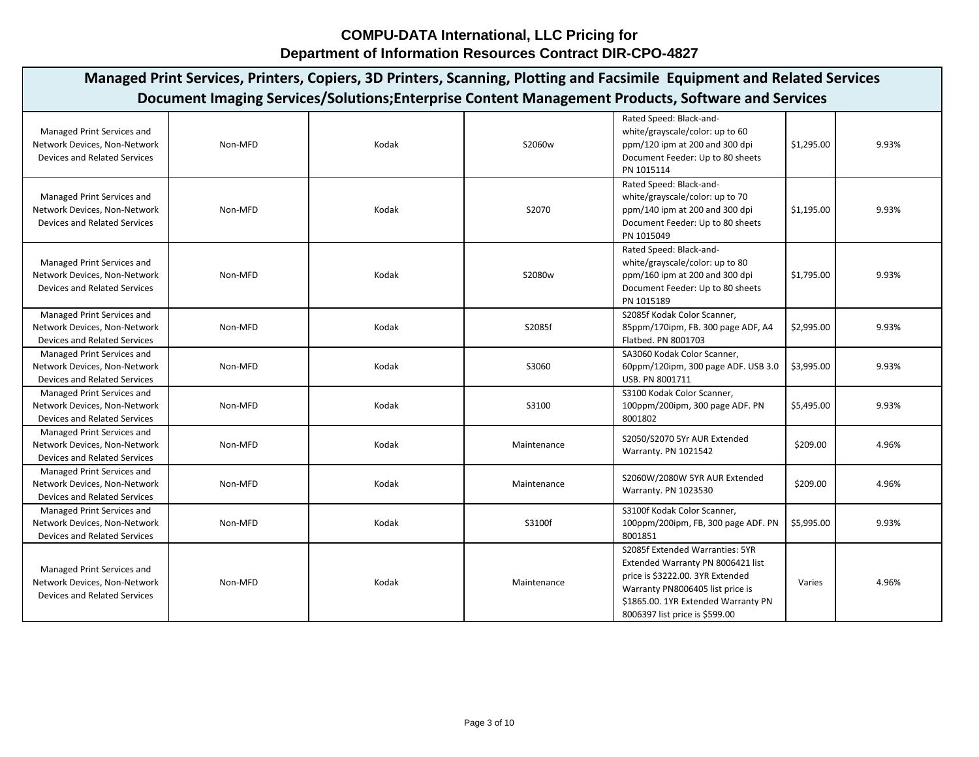| Managed Print Services, Printers, Copiers, 3D Printers, Scanning, Plotting and Facsimile Equipment and Related Services<br>Document Imaging Services/Solutions; Enterprise Content Management Products, Software and Services |         |       |             |                                                                                                                                                                                                                       |            |       |  |  |  |
|-------------------------------------------------------------------------------------------------------------------------------------------------------------------------------------------------------------------------------|---------|-------|-------------|-----------------------------------------------------------------------------------------------------------------------------------------------------------------------------------------------------------------------|------------|-------|--|--|--|
| Managed Print Services and<br>Network Devices, Non-Network<br>Devices and Related Services                                                                                                                                    | Non-MFD | Kodak | S2060w      | Rated Speed: Black-and-<br>white/grayscale/color: up to 60<br>ppm/120 ipm at 200 and 300 dpi<br>Document Feeder: Up to 80 sheets<br>PN 1015114                                                                        | \$1,295.00 | 9.93% |  |  |  |
| Managed Print Services and<br>Network Devices, Non-Network<br>Devices and Related Services                                                                                                                                    | Non-MFD | Kodak | S2070       | Rated Speed: Black-and-<br>white/grayscale/color: up to 70<br>ppm/140 ipm at 200 and 300 dpi<br>Document Feeder: Up to 80 sheets<br>PN 1015049                                                                        | \$1,195.00 | 9.93% |  |  |  |
| Managed Print Services and<br>Network Devices, Non-Network<br>Devices and Related Services                                                                                                                                    | Non-MFD | Kodak | S2080w      | Rated Speed: Black-and-<br>white/grayscale/color: up to 80<br>ppm/160 ipm at 200 and 300 dpi<br>Document Feeder: Up to 80 sheets<br>PN 1015189                                                                        | \$1,795.00 | 9.93% |  |  |  |
| Managed Print Services and<br>Network Devices, Non-Network<br><b>Devices and Related Services</b>                                                                                                                             | Non-MFD | Kodak | S2085f      | S2085f Kodak Color Scanner,<br>85ppm/170ipm, FB. 300 page ADF, A4<br>Flatbed. PN 8001703                                                                                                                              | \$2,995.00 | 9.93% |  |  |  |
| Managed Print Services and<br>Network Devices, Non-Network<br>Devices and Related Services                                                                                                                                    | Non-MFD | Kodak | S3060       | SA3060 Kodak Color Scanner,<br>60ppm/120ipm, 300 page ADF. USB 3.0<br>USB. PN 8001711                                                                                                                                 | \$3,995.00 | 9.93% |  |  |  |
| Managed Print Services and<br>Network Devices, Non-Network<br>Devices and Related Services                                                                                                                                    | Non-MFD | Kodak | S3100       | S3100 Kodak Color Scanner,<br>100ppm/200ipm, 300 page ADF. PN<br>8001802                                                                                                                                              | \$5,495.00 | 9.93% |  |  |  |
| Managed Print Services and<br>Network Devices, Non-Network<br><b>Devices and Related Services</b>                                                                                                                             | Non-MFD | Kodak | Maintenance | S2050/S2070 5Yr AUR Extended<br>Warranty. PN 1021542                                                                                                                                                                  | \$209.00   | 4.96% |  |  |  |
| Managed Print Services and<br>Network Devices, Non-Network<br>Devices and Related Services                                                                                                                                    | Non-MFD | Kodak | Maintenance | S2060W/2080W 5YR AUR Extended<br>Warranty. PN 1023530                                                                                                                                                                 | \$209.00   | 4.96% |  |  |  |
| Managed Print Services and<br>Network Devices, Non-Network<br><b>Devices and Related Services</b>                                                                                                                             | Non-MFD | Kodak | S3100f      | S3100f Kodak Color Scanner,<br>100ppm/200ipm, FB, 300 page ADF. PN<br>8001851                                                                                                                                         | \$5,995.00 | 9.93% |  |  |  |
| Managed Print Services and<br>Network Devices, Non-Network<br><b>Devices and Related Services</b>                                                                                                                             | Non-MFD | Kodak | Maintenance | S2085f Extended Warranties: 5YR<br>Extended Warranty PN 8006421 list<br>price is \$3222.00. 3YR Extended<br>Warranty PN8006405 list price is<br>\$1865.00. 1YR Extended Warranty PN<br>8006397 list price is \$599.00 | Varies     | 4.96% |  |  |  |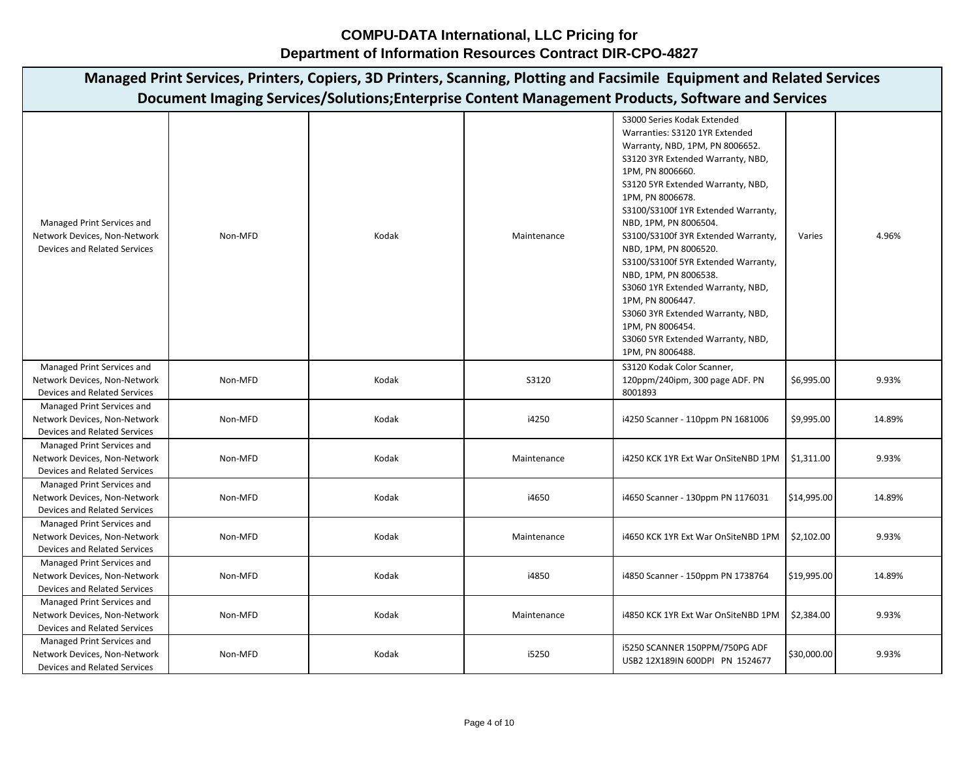**COMPU-DATA International, LLC Pricing for Department of Information Resources Contract DIR-CPO-4827**

| Managed Print Services, Printers, Copiers, 3D Printers, Scanning, Plotting and Facsimile Equipment and Related Services |         |       |             |                                                                                                                                                                                                                                                                                                                                                                                                                                                                                                                                                                                               |             |        |  |  |  |  |
|-------------------------------------------------------------------------------------------------------------------------|---------|-------|-------------|-----------------------------------------------------------------------------------------------------------------------------------------------------------------------------------------------------------------------------------------------------------------------------------------------------------------------------------------------------------------------------------------------------------------------------------------------------------------------------------------------------------------------------------------------------------------------------------------------|-------------|--------|--|--|--|--|
| Document Imaging Services/Solutions;Enterprise Content Management Products, Software and Services                       |         |       |             |                                                                                                                                                                                                                                                                                                                                                                                                                                                                                                                                                                                               |             |        |  |  |  |  |
| Managed Print Services and<br>Network Devices, Non-Network<br><b>Devices and Related Services</b>                       | Non-MFD | Kodak | Maintenance | S3000 Series Kodak Extended<br>Warranties: S3120 1YR Extended<br>Warranty, NBD, 1PM, PN 8006652.<br>S3120 3YR Extended Warranty, NBD,<br>1PM, PN 8006660.<br>S3120 5YR Extended Warranty, NBD,<br>1PM, PN 8006678.<br>S3100/S3100f 1YR Extended Warranty,<br>NBD, 1PM, PN 8006504.<br>S3100/S3100f 3YR Extended Warranty,<br>NBD, 1PM, PN 8006520.<br>S3100/S3100f 5YR Extended Warranty,<br>NBD, 1PM, PN 8006538.<br>S3060 1YR Extended Warranty, NBD,<br>1PM, PN 8006447.<br>S3060 3YR Extended Warranty, NBD,<br>1PM, PN 8006454.<br>S3060 5YR Extended Warranty, NBD,<br>1PM, PN 8006488. | Varies      | 4.96%  |  |  |  |  |
| Managed Print Services and<br>Network Devices, Non-Network<br>Devices and Related Services                              | Non-MFD | Kodak | S3120       | S3120 Kodak Color Scanner,<br>120ppm/240ipm, 300 page ADF. PN<br>8001893                                                                                                                                                                                                                                                                                                                                                                                                                                                                                                                      | \$6,995.00  | 9.93%  |  |  |  |  |
| Managed Print Services and<br>Network Devices, Non-Network<br>Devices and Related Services                              | Non-MFD | Kodak | i4250       | i4250 Scanner - 110ppm PN 1681006                                                                                                                                                                                                                                                                                                                                                                                                                                                                                                                                                             | \$9,995.00  | 14.89% |  |  |  |  |
| Managed Print Services and<br>Network Devices, Non-Network<br><b>Devices and Related Services</b>                       | Non-MFD | Kodak | Maintenance | i4250 KCK 1YR Ext War OnSiteNBD 1PM   \$1,311.00                                                                                                                                                                                                                                                                                                                                                                                                                                                                                                                                              |             | 9.93%  |  |  |  |  |
| Managed Print Services and<br>Network Devices, Non-Network<br>Devices and Related Services                              | Non-MFD | Kodak | i4650       | i4650 Scanner - 130ppm PN 1176031                                                                                                                                                                                                                                                                                                                                                                                                                                                                                                                                                             | \$14,995.00 | 14.89% |  |  |  |  |
| Managed Print Services and<br>Network Devices, Non-Network<br><b>Devices and Related Services</b>                       | Non-MFD | Kodak | Maintenance | i4650 KCK 1YR Ext War OnSiteNBD 1PM                                                                                                                                                                                                                                                                                                                                                                                                                                                                                                                                                           | \$2,102.00  | 9.93%  |  |  |  |  |
| Managed Print Services and<br>Network Devices, Non-Network<br><b>Devices and Related Services</b>                       | Non-MFD | Kodak | i4850       | i4850 Scanner - 150ppm PN 1738764                                                                                                                                                                                                                                                                                                                                                                                                                                                                                                                                                             | \$19,995.00 | 14.89% |  |  |  |  |
| Managed Print Services and<br>Network Devices, Non-Network<br><b>Devices and Related Services</b>                       | Non-MFD | Kodak | Maintenance | i4850 KCK 1YR Ext War OnSiteNBD 1PM                                                                                                                                                                                                                                                                                                                                                                                                                                                                                                                                                           | \$2,384.00  | 9.93%  |  |  |  |  |
| Managed Print Services and<br>Network Devices, Non-Network<br>Devices and Related Services                              | Non-MFD | Kodak | i5250       | i5250 SCANNER 150PPM/750PG ADF<br>USB2 12X189IN 600DPI PN 1524677                                                                                                                                                                                                                                                                                                                                                                                                                                                                                                                             | \$30,000.00 | 9.93%  |  |  |  |  |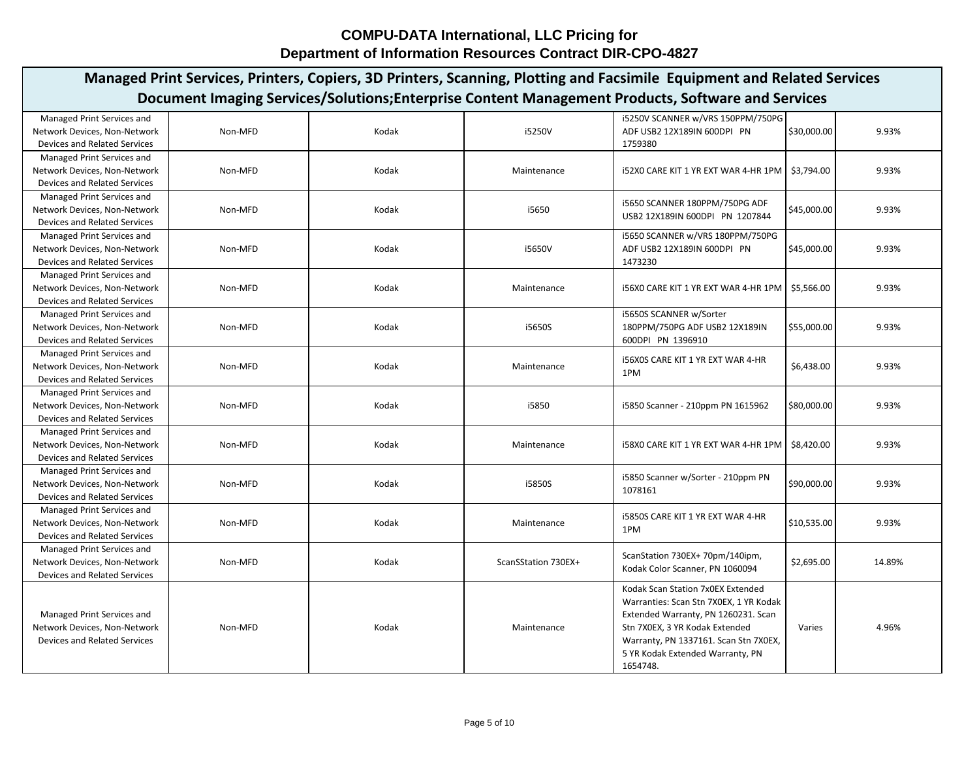| Managed Print Services, Printers, Copiers, 3D Printers, Scanning, Plotting and Facsimile Equipment and Related Services |         |       |                     |                                                                             |             |        |  |  |  |  |
|-------------------------------------------------------------------------------------------------------------------------|---------|-------|---------------------|-----------------------------------------------------------------------------|-------------|--------|--|--|--|--|
| Document Imaging Services/Solutions; Enterprise Content Management Products, Software and Services                      |         |       |                     |                                                                             |             |        |  |  |  |  |
| Managed Print Services and                                                                                              |         |       |                     | i5250V SCANNER w/VRS 150PPM/750PG                                           |             |        |  |  |  |  |
| Network Devices, Non-Network                                                                                            | Non-MFD | Kodak | i5250V              | ADF USB2 12X189IN 600DPI PN                                                 | \$30,000.00 | 9.93%  |  |  |  |  |
| <b>Devices and Related Services</b>                                                                                     |         |       |                     | 1759380                                                                     |             |        |  |  |  |  |
| Managed Print Services and                                                                                              |         |       |                     |                                                                             |             |        |  |  |  |  |
| Network Devices, Non-Network                                                                                            | Non-MFD | Kodak | Maintenance         | i52X0 CARE KIT 1 YR EXT WAR 4-HR 1PM   \$3,794.00                           |             | 9.93%  |  |  |  |  |
| <b>Devices and Related Services</b>                                                                                     |         |       |                     |                                                                             |             |        |  |  |  |  |
| Managed Print Services and                                                                                              |         |       |                     |                                                                             |             |        |  |  |  |  |
| Network Devices, Non-Network                                                                                            | Non-MFD | Kodak | i5650               | i5650 SCANNER 180PPM/750PG ADF                                              | \$45,000.00 | 9.93%  |  |  |  |  |
| Devices and Related Services                                                                                            |         |       |                     | USB2 12X189IN 600DPI PN 1207844                                             |             |        |  |  |  |  |
| Managed Print Services and                                                                                              |         |       |                     | i5650 SCANNER w/VRS 180PPM/750PG                                            |             |        |  |  |  |  |
| Network Devices, Non-Network                                                                                            | Non-MFD | Kodak | i5650V              | ADF USB2 12X189IN 600DPI PN                                                 | \$45,000.00 | 9.93%  |  |  |  |  |
| <b>Devices and Related Services</b>                                                                                     |         |       |                     | 1473230                                                                     |             |        |  |  |  |  |
| Managed Print Services and                                                                                              |         |       |                     |                                                                             |             |        |  |  |  |  |
| Network Devices, Non-Network                                                                                            | Non-MFD | Kodak | Maintenance         | i56X0 CARE KIT 1 YR EXT WAR 4-HR 1PM   \$5,566.00                           |             | 9.93%  |  |  |  |  |
| Devices and Related Services                                                                                            |         |       |                     |                                                                             |             |        |  |  |  |  |
| Managed Print Services and                                                                                              |         |       |                     | i5650S SCANNER w/Sorter                                                     |             |        |  |  |  |  |
| Network Devices, Non-Network                                                                                            | Non-MFD | Kodak | i5650S              | 180PPM/750PG ADF USB2 12X189IN                                              | \$55,000.00 | 9.93%  |  |  |  |  |
| Devices and Related Services                                                                                            |         |       |                     | 600DPI PN 1396910                                                           |             |        |  |  |  |  |
| Managed Print Services and                                                                                              |         |       |                     | <b>i56X0S CARE KIT 1 YR EXT WAR 4-HR</b>                                    |             |        |  |  |  |  |
| Network Devices, Non-Network                                                                                            | Non-MFD | Kodak | Maintenance         | 1PM                                                                         | \$6,438.00  | 9.93%  |  |  |  |  |
| <b>Devices and Related Services</b>                                                                                     |         |       |                     |                                                                             |             |        |  |  |  |  |
| Managed Print Services and                                                                                              |         |       |                     |                                                                             |             |        |  |  |  |  |
| Network Devices, Non-Network                                                                                            | Non-MFD | Kodak | i5850               | i5850 Scanner - 210ppm PN 1615962                                           | \$80,000.00 | 9.93%  |  |  |  |  |
| <b>Devices and Related Services</b>                                                                                     |         |       |                     |                                                                             |             |        |  |  |  |  |
| Managed Print Services and                                                                                              |         |       |                     |                                                                             |             |        |  |  |  |  |
| Network Devices, Non-Network                                                                                            | Non-MFD | Kodak | Maintenance         | 158X0 CARE KIT 1 YR EXT WAR 4-HR 1PM                                        | \$8,420.00  | 9.93%  |  |  |  |  |
| Devices and Related Services                                                                                            |         |       |                     |                                                                             |             |        |  |  |  |  |
| Managed Print Services and                                                                                              |         |       |                     | i5850 Scanner w/Sorter - 210ppm PN                                          |             |        |  |  |  |  |
| Network Devices, Non-Network                                                                                            | Non-MFD | Kodak | i5850S              | 1078161                                                                     | \$90,000.00 | 9.93%  |  |  |  |  |
| <b>Devices and Related Services</b>                                                                                     |         |       |                     |                                                                             |             |        |  |  |  |  |
| Managed Print Services and                                                                                              |         |       |                     | <b>i5850S CARE KIT 1 YR EXT WAR 4-HR</b>                                    |             |        |  |  |  |  |
| Network Devices, Non-Network                                                                                            | Non-MFD | Kodak | Maintenance         | 1PM                                                                         | \$10,535.00 | 9.93%  |  |  |  |  |
| <b>Devices and Related Services</b>                                                                                     |         |       |                     |                                                                             |             |        |  |  |  |  |
| Managed Print Services and                                                                                              |         |       |                     | ScanStation 730EX+ 70pm/140ipm,                                             |             |        |  |  |  |  |
| Network Devices, Non-Network                                                                                            | Non-MFD | Kodak | ScanSStation 730EX+ | Kodak Color Scanner, PN 1060094                                             | \$2,695.00  | 14.89% |  |  |  |  |
| <b>Devices and Related Services</b>                                                                                     |         |       |                     |                                                                             |             |        |  |  |  |  |
|                                                                                                                         |         |       |                     | Kodak Scan Station 7x0EX Extended<br>Warranties: Scan Stn 7X0EX, 1 YR Kodak |             |        |  |  |  |  |
| Managed Print Services and                                                                                              |         |       |                     | Extended Warranty, PN 1260231. Scan                                         |             |        |  |  |  |  |
| Network Devices, Non-Network                                                                                            | Non-MFD | Kodak | Maintenance         | Stn 7X0EX, 3 YR Kodak Extended                                              | Varies      | 4.96%  |  |  |  |  |
| <b>Devices and Related Services</b>                                                                                     |         |       |                     | Warranty, PN 1337161. Scan Stn 7X0EX,                                       |             |        |  |  |  |  |
|                                                                                                                         |         |       |                     | 5 YR Kodak Extended Warranty, PN                                            |             |        |  |  |  |  |
|                                                                                                                         |         |       |                     | 1654748.                                                                    |             |        |  |  |  |  |
|                                                                                                                         |         |       |                     |                                                                             |             |        |  |  |  |  |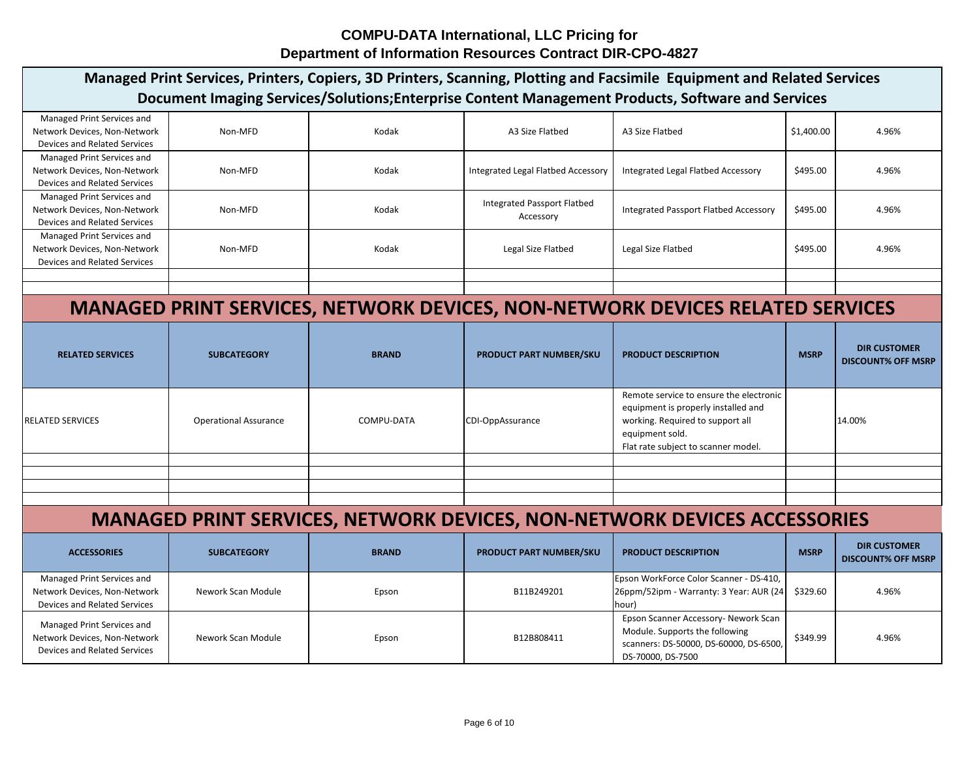| Managed Print Services, Printers, Copiers, 3D Printers, Scanning, Plotting and Facsimile Equipment and Related Services<br>Document Imaging Services/Solutions; Enterprise Content Management Products, Software and Services |                                                                                 |              |                                                 |                                                                                                                                                                              |             |                                                  |  |  |  |
|-------------------------------------------------------------------------------------------------------------------------------------------------------------------------------------------------------------------------------|---------------------------------------------------------------------------------|--------------|-------------------------------------------------|------------------------------------------------------------------------------------------------------------------------------------------------------------------------------|-------------|--------------------------------------------------|--|--|--|
| Managed Print Services and<br>Network Devices, Non-Network<br><b>Devices and Related Services</b>                                                                                                                             | Non-MFD                                                                         | Kodak        | A3 Size Flatbed                                 | A3 Size Flatbed                                                                                                                                                              | \$1,400.00  | 4.96%                                            |  |  |  |
| Managed Print Services and<br>Network Devices, Non-Network<br><b>Devices and Related Services</b>                                                                                                                             | Non-MFD                                                                         | Kodak        | Integrated Legal Flatbed Accessory              | Integrated Legal Flatbed Accessory                                                                                                                                           | \$495.00    | 4.96%                                            |  |  |  |
| Managed Print Services and<br>Network Devices, Non-Network<br>Devices and Related Services                                                                                                                                    | Non-MFD                                                                         | Kodak        | <b>Integrated Passport Flatbed</b><br>Accessory | <b>Integrated Passport Flatbed Accessory</b>                                                                                                                                 | \$495.00    | 4.96%                                            |  |  |  |
| Managed Print Services and<br>Network Devices, Non-Network<br>Devices and Related Services                                                                                                                                    | Non-MFD                                                                         | Kodak        | Legal Size Flatbed                              | Legal Size Flatbed                                                                                                                                                           | \$495.00    | 4.96%                                            |  |  |  |
|                                                                                                                                                                                                                               |                                                                                 |              |                                                 |                                                                                                                                                                              |             |                                                  |  |  |  |
|                                                                                                                                                                                                                               |                                                                                 |              |                                                 |                                                                                                                                                                              |             |                                                  |  |  |  |
|                                                                                                                                                                                                                               |                                                                                 |              |                                                 | <b>MANAGED PRINT SERVICES, NETWORK DEVICES, NON-NETWORK DEVICES RELATED SERVICES</b>                                                                                         |             |                                                  |  |  |  |
| <b>RELATED SERVICES</b>                                                                                                                                                                                                       | <b>SUBCATEGORY</b>                                                              | <b>BRAND</b> | <b>PRODUCT PART NUMBER/SKU</b>                  | <b>PRODUCT DESCRIPTION</b>                                                                                                                                                   | <b>MSRP</b> | <b>DIR CUSTOMER</b><br><b>DISCOUNT% OFF MSRP</b> |  |  |  |
| <b>RELATED SERVICES</b>                                                                                                                                                                                                       | <b>Operational Assurance</b>                                                    | COMPU-DATA   | CDI-OppAssurance                                | Remote service to ensure the electronic<br>equipment is properly installed and<br>working. Required to support all<br>equipment sold.<br>Flat rate subject to scanner model. |             | 14.00%                                           |  |  |  |
|                                                                                                                                                                                                                               |                                                                                 |              |                                                 |                                                                                                                                                                              |             |                                                  |  |  |  |
|                                                                                                                                                                                                                               |                                                                                 |              |                                                 |                                                                                                                                                                              |             |                                                  |  |  |  |
|                                                                                                                                                                                                                               |                                                                                 |              |                                                 |                                                                                                                                                                              |             |                                                  |  |  |  |
|                                                                                                                                                                                                                               | <b>MANAGED PRINT SERVICES, NETWORK DEVICES, NON-NETWORK DEVICES ACCESSORIES</b> |              |                                                 |                                                                                                                                                                              |             |                                                  |  |  |  |
| <b>ACCESSORIES</b>                                                                                                                                                                                                            | <b>SUBCATEGORY</b>                                                              | <b>BRAND</b> | PRODUCT PART NUMBER/SKU                         | <b>PRODUCT DESCRIPTION</b>                                                                                                                                                   | <b>MSRP</b> | <b>DIR CUSTOMER</b><br><b>DISCOUNT% OFF MSRP</b> |  |  |  |
| Managed Print Services and<br>Network Devices, Non-Network<br>Devices and Related Services                                                                                                                                    | Nework Scan Module                                                              | Epson        | B11B249201                                      | Epson WorkForce Color Scanner - DS-410,<br>26ppm/52ipm - Warranty: 3 Year: AUR (24<br>hour)                                                                                  | \$329.60    | 4.96%                                            |  |  |  |
| Managed Print Services and<br>Network Devices, Non-Network<br>Devices and Related Services                                                                                                                                    | Nework Scan Module                                                              | Epson        | B12B808411                                      | Epson Scanner Accessory- Nework Scan<br>Module. Supports the following<br>scanners: DS-50000, DS-60000, DS-6500,<br>DS-70000, DS-7500                                        | \$349.99    | 4.96%                                            |  |  |  |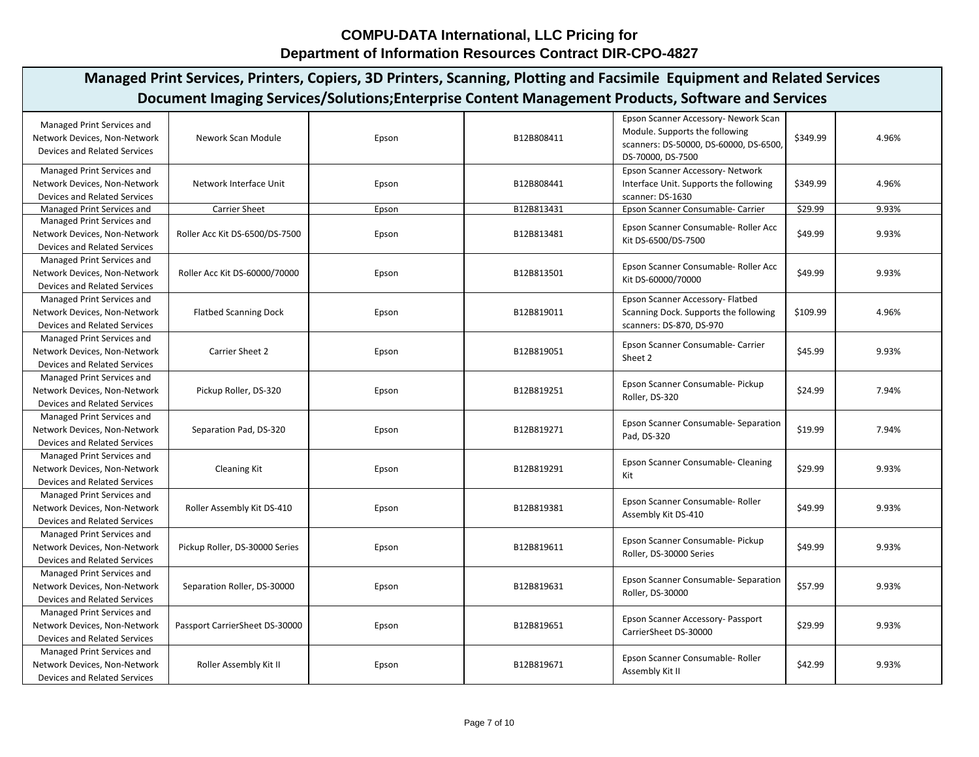| Managed Print Services, Printers, Copiers, 3D Printers, Scanning, Plotting and Facsimile Equipment and Related Services<br>Document Imaging Services/Solutions; Enterprise Content Management Products, Software and Services |                                |       |            |                                                                                                                                       |          |       |  |  |  |
|-------------------------------------------------------------------------------------------------------------------------------------------------------------------------------------------------------------------------------|--------------------------------|-------|------------|---------------------------------------------------------------------------------------------------------------------------------------|----------|-------|--|--|--|
| Managed Print Services and<br>Network Devices, Non-Network<br>Devices and Related Services                                                                                                                                    | Nework Scan Module             | Epson | B12B808411 | Epson Scanner Accessory- Nework Scan<br>Module. Supports the following<br>scanners: DS-50000, DS-60000, DS-6500,<br>DS-70000, DS-7500 | \$349.99 | 4.96% |  |  |  |
| Managed Print Services and<br>Network Devices, Non-Network<br>Devices and Related Services                                                                                                                                    | Network Interface Unit         | Epson | B12B808441 | Epson Scanner Accessory- Network<br>Interface Unit. Supports the following<br>scanner: DS-1630                                        | \$349.99 | 4.96% |  |  |  |
| Managed Print Services and                                                                                                                                                                                                    | <b>Carrier Sheet</b>           | Epson | B12B813431 | Epson Scanner Consumable- Carrier                                                                                                     | \$29.99  | 9.93% |  |  |  |
| Managed Print Services and<br>Network Devices, Non-Network<br>Devices and Related Services                                                                                                                                    | Roller Acc Kit DS-6500/DS-7500 | Epson | B12B813481 | Epson Scanner Consumable- Roller Acc<br>Kit DS-6500/DS-7500                                                                           | \$49.99  | 9.93% |  |  |  |
| Managed Print Services and<br>Network Devices, Non-Network<br><b>Devices and Related Services</b>                                                                                                                             | Roller Acc Kit DS-60000/70000  | Epson | B12B813501 | Epson Scanner Consumable- Roller Acc<br>Kit DS-60000/70000                                                                            | \$49.99  | 9.93% |  |  |  |
| Managed Print Services and<br>Network Devices, Non-Network<br><b>Devices and Related Services</b>                                                                                                                             | <b>Flatbed Scanning Dock</b>   | Epson | B12B819011 | Epson Scanner Accessory- Flatbed<br>Scanning Dock. Supports the following<br>scanners: DS-870, DS-970                                 | \$109.99 | 4.96% |  |  |  |
| Managed Print Services and<br>Network Devices, Non-Network<br>Devices and Related Services                                                                                                                                    | Carrier Sheet 2                | Epson | B12B819051 | Epson Scanner Consumable- Carrier<br>Sheet 2                                                                                          | \$45.99  | 9.93% |  |  |  |
| Managed Print Services and<br>Network Devices, Non-Network<br><b>Devices and Related Services</b>                                                                                                                             | Pickup Roller, DS-320          | Epson | B12B819251 | Epson Scanner Consumable- Pickup<br>Roller, DS-320                                                                                    | \$24.99  | 7.94% |  |  |  |
| Managed Print Services and<br>Network Devices, Non-Network<br><b>Devices and Related Services</b>                                                                                                                             | Separation Pad, DS-320         | Epson | B12B819271 | Epson Scanner Consumable- Separation<br>Pad, DS-320                                                                                   | \$19.99  | 7.94% |  |  |  |
| Managed Print Services and<br>Network Devices, Non-Network<br><b>Devices and Related Services</b>                                                                                                                             | <b>Cleaning Kit</b>            | Epson | B12B819291 | Epson Scanner Consumable- Cleaning<br>Kit                                                                                             | \$29.99  | 9.93% |  |  |  |
| Managed Print Services and<br>Network Devices, Non-Network<br>Devices and Related Services                                                                                                                                    | Roller Assembly Kit DS-410     | Epson | B12B819381 | Epson Scanner Consumable- Roller<br>Assembly Kit DS-410                                                                               | \$49.99  | 9.93% |  |  |  |
| Managed Print Services and<br>Network Devices, Non-Network<br><b>Devices and Related Services</b>                                                                                                                             | Pickup Roller, DS-30000 Series | Epson | B12B819611 | Epson Scanner Consumable- Pickup<br>Roller, DS-30000 Series                                                                           | \$49.99  | 9.93% |  |  |  |
| Managed Print Services and<br>Network Devices, Non-Network<br>Devices and Related Services                                                                                                                                    | Separation Roller, DS-30000    | Epson | B12B819631 | Epson Scanner Consumable- Separation<br>Roller, DS-30000                                                                              | \$57.99  | 9.93% |  |  |  |
| Managed Print Services and<br>Network Devices, Non-Network<br><b>Devices and Related Services</b>                                                                                                                             | Passport CarrierSheet DS-30000 | Epson | B12B819651 | Epson Scanner Accessory- Passport<br>CarrierSheet DS-30000                                                                            | \$29.99  | 9.93% |  |  |  |
| Managed Print Services and<br>Network Devices, Non-Network<br>Devices and Related Services                                                                                                                                    | Roller Assembly Kit II         | Epson | B12B819671 | Epson Scanner Consumable- Roller<br>Assembly Kit II                                                                                   | \$42.99  | 9.93% |  |  |  |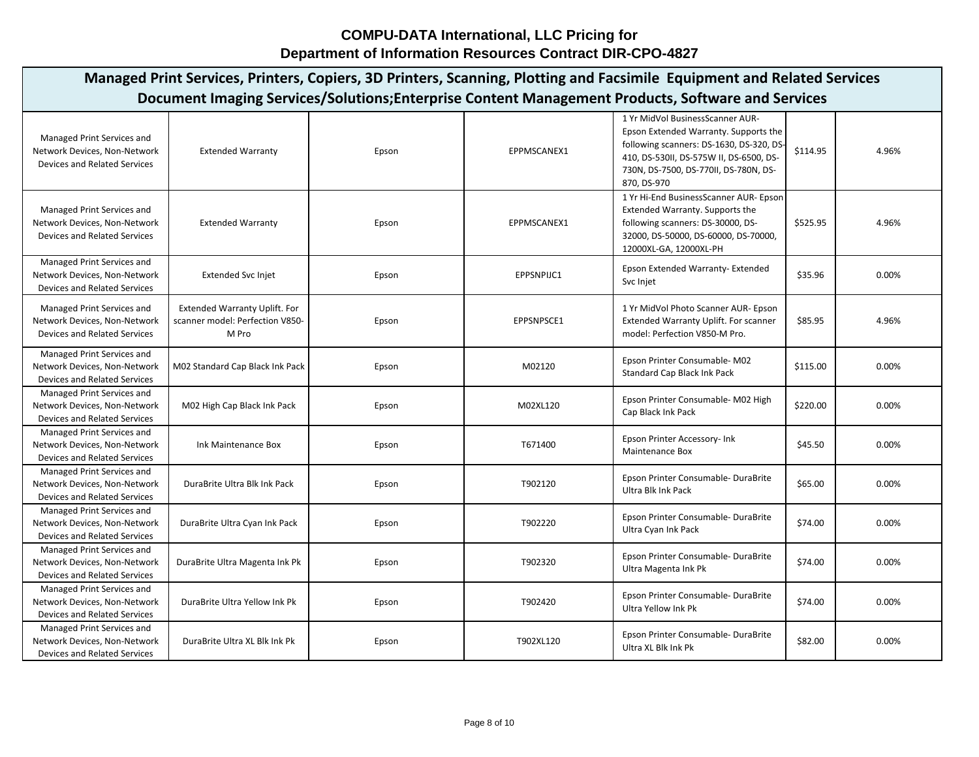| Managed Print Services, Printers, Copiers, 3D Printers, Scanning, Plotting and Facsimile Equipment and Related Services<br>Document Imaging Services/Solutions; Enterprise Content Management Products, Software and Services |                                                                                  |       |             |                                                                                                                                                                                                                          |          |       |  |  |  |
|-------------------------------------------------------------------------------------------------------------------------------------------------------------------------------------------------------------------------------|----------------------------------------------------------------------------------|-------|-------------|--------------------------------------------------------------------------------------------------------------------------------------------------------------------------------------------------------------------------|----------|-------|--|--|--|
| Managed Print Services and<br>Network Devices, Non-Network<br>Devices and Related Services                                                                                                                                    | <b>Extended Warranty</b>                                                         | Epson | EPPMSCANEX1 | 1 Yr MidVol BusinessScanner AUR-<br>Epson Extended Warranty. Supports the<br>following scanners: DS-1630, DS-320, DS-<br>410, DS-530II, DS-575W II, DS-6500, DS-<br>730N, DS-7500, DS-770II, DS-780N, DS-<br>870, DS-970 | \$114.95 | 4.96% |  |  |  |
| Managed Print Services and<br>Network Devices, Non-Network<br>Devices and Related Services                                                                                                                                    | <b>Extended Warranty</b>                                                         | Epson | EPPMSCANEX1 | 1 Yr Hi-End BusinessScanner AUR- Epson<br>Extended Warranty. Supports the<br>following scanners: DS-30000, DS-<br>32000, DS-50000, DS-60000, DS-70000,<br>12000XL-GA, 12000XL-PH                                         | \$525.95 | 4.96% |  |  |  |
| Managed Print Services and<br>Network Devices, Non-Network<br><b>Devices and Related Services</b>                                                                                                                             | <b>Extended Svc Injet</b>                                                        | Epson | EPPSNPIJC1  | Epson Extended Warranty- Extended<br>Svc Injet                                                                                                                                                                           | \$35.96  | 0.00% |  |  |  |
| Managed Print Services and<br>Network Devices, Non-Network<br><b>Devices and Related Services</b>                                                                                                                             | <b>Extended Warranty Uplift. For</b><br>scanner model: Perfection V850-<br>M Pro | Epson | EPPSNPSCE1  | 1 Yr MidVol Photo Scanner AUR- Epson<br><b>Extended Warranty Uplift. For scanner</b><br>model: Perfection V850-M Pro.                                                                                                    | \$85.95  | 4.96% |  |  |  |
| Managed Print Services and<br>Network Devices, Non-Network<br>Devices and Related Services                                                                                                                                    | M02 Standard Cap Black Ink Pack                                                  | Epson | M02120      | Epson Printer Consumable-M02<br><b>Standard Cap Black Ink Pack</b>                                                                                                                                                       | \$115.00 | 0.00% |  |  |  |
| Managed Print Services and<br>Network Devices, Non-Network<br><b>Devices and Related Services</b>                                                                                                                             | M02 High Cap Black Ink Pack                                                      | Epson | M02XL120    | Epson Printer Consumable- M02 High<br>Cap Black Ink Pack                                                                                                                                                                 | \$220.00 | 0.00% |  |  |  |
| Managed Print Services and<br>Network Devices, Non-Network<br><b>Devices and Related Services</b>                                                                                                                             | Ink Maintenance Box                                                              | Epson | T671400     | Epson Printer Accessory- Ink<br>Maintenance Box                                                                                                                                                                          | \$45.50  | 0.00% |  |  |  |
| Managed Print Services and<br>Network Devices, Non-Network<br>Devices and Related Services                                                                                                                                    | DuraBrite Ultra Blk Ink Pack                                                     | Epson | T902120     | Epson Printer Consumable- DuraBrite<br>Ultra Blk Ink Pack                                                                                                                                                                | \$65.00  | 0.00% |  |  |  |
| Managed Print Services and<br>Network Devices, Non-Network<br><b>Devices and Related Services</b>                                                                                                                             | DuraBrite Ultra Cyan Ink Pack                                                    | Epson | T902220     | Epson Printer Consumable- DuraBrite<br>Ultra Cyan Ink Pack                                                                                                                                                               | \$74.00  | 0.00% |  |  |  |
| Managed Print Services and<br>Network Devices, Non-Network<br>Devices and Related Services                                                                                                                                    | DuraBrite Ultra Magenta Ink Pk                                                   | Epson | T902320     | Epson Printer Consumable- DuraBrite<br>Ultra Magenta Ink Pk                                                                                                                                                              | \$74.00  | 0.00% |  |  |  |
| Managed Print Services and<br>Network Devices, Non-Network<br>Devices and Related Services                                                                                                                                    | DuraBrite Ultra Yellow Ink Pk                                                    | Epson | T902420     | Epson Printer Consumable- DuraBrite<br><b>Ultra Yellow Ink Pk</b>                                                                                                                                                        | \$74.00  | 0.00% |  |  |  |
| Managed Print Services and<br>Network Devices, Non-Network<br>Devices and Related Services                                                                                                                                    | DuraBrite Ultra XL Blk Ink Pk                                                    | Epson | T902XL120   | Epson Printer Consumable- DuraBrite<br>Ultra XL Blk Ink Pk                                                                                                                                                               | \$82.00  | 0.00% |  |  |  |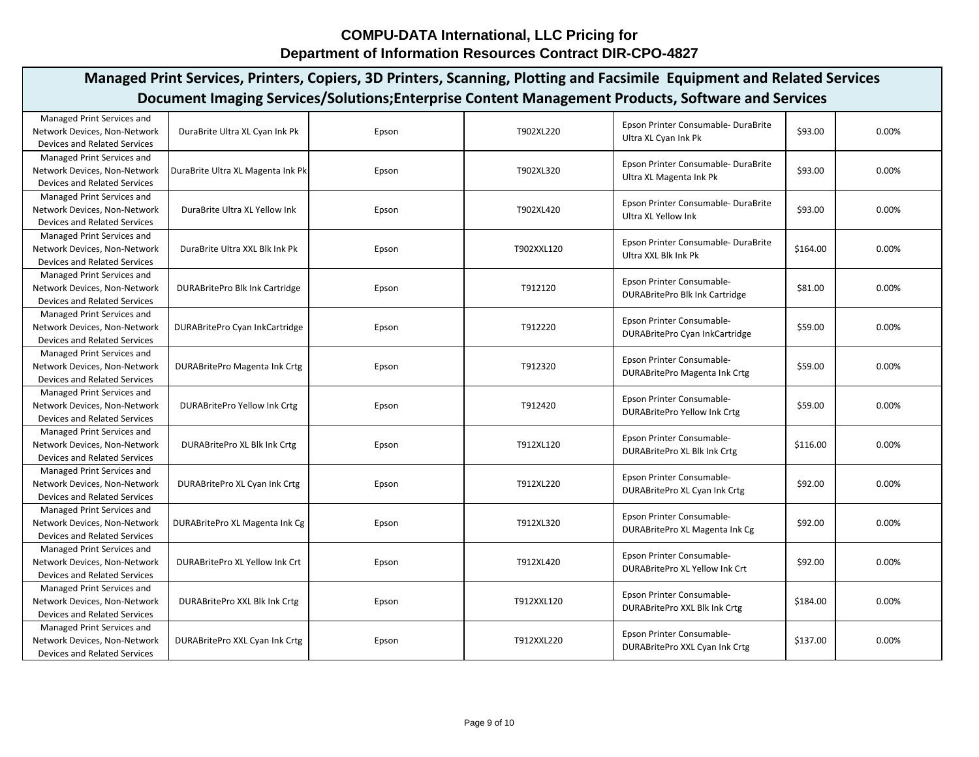| Document Imaging Services/Solutions; Enterprise Content Management Products, Software and Services<br>Managed Print Services and<br>Epson Printer Consumable-DuraBrite<br>\$93.00<br>Network Devices, Non-Network<br>DuraBrite Ultra XL Cyan Ink Pk<br>0.00%<br>Epson<br>T902XL220<br>Ultra XL Cyan Ink Pk<br>Devices and Related Services<br>Managed Print Services and<br>Epson Printer Consumable- DuraBrite<br>\$93.00<br>0.00%<br>Network Devices, Non-Network<br>T902XL320<br>DuraBrite Ultra XL Magenta Ink Pk<br>Epson<br>Ultra XL Magenta Ink Pk<br><b>Devices and Related Services</b><br>Managed Print Services and<br>Epson Printer Consumable- DuraBrite<br>\$93.00<br>0.00%<br>Network Devices, Non-Network<br>DuraBrite Ultra XL Yellow Ink<br>T902XL420<br>Epson<br>Ultra XL Yellow Ink<br><b>Devices and Related Services</b><br>Managed Print Services and<br>Epson Printer Consumable-DuraBrite<br>\$164.00<br>0.00%<br>Network Devices, Non-Network<br>DuraBrite Ultra XXL Blk Ink Pk<br>T902XXL120<br>Epson<br>Ultra XXL Blk Ink Pk<br><b>Devices and Related Services</b><br>Managed Print Services and<br>Epson Printer Consumable-<br>\$81.00<br>0.00%<br>Network Devices, Non-Network<br>T912120<br>DURABritePro Blk Ink Cartridge<br>Epson<br><b>DURABritePro Blk Ink Cartridge</b><br><b>Devices and Related Services</b><br>Managed Print Services and<br>Epson Printer Consumable-<br>T912220<br>0.00%<br>Network Devices, Non-Network<br>DURABritePro Cyan InkCartridge<br>\$59.00<br>Epson<br>DURABritePro Cyan InkCartridge<br><b>Devices and Related Services</b><br>Managed Print Services and<br>Epson Printer Consumable-<br>DURABritePro Magenta Ink Crtg<br>T912320<br>0.00%<br>Network Devices, Non-Network<br>\$59.00<br>Epson<br>DURABritePro Magenta Ink Crtg<br><b>Devices and Related Services</b><br>Managed Print Services and<br>Epson Printer Consumable-<br>0.00%<br>Network Devices, Non-Network<br><b>DURABritePro Yellow Ink Crtg</b><br>T912420<br>\$59.00<br>Epson<br><b>DURABritePro Yellow Ink Crtg</b><br><b>Devices and Related Services</b><br>Managed Print Services and<br>Epson Printer Consumable-<br>Network Devices, Non-Network<br>DURABritePro XL Blk Ink Crtg<br>0.00%<br>T912XL120<br>\$116.00<br>Epson<br>DURABritePro XL Blk Ink Crtg<br><b>Devices and Related Services</b><br>Managed Print Services and<br>Epson Printer Consumable-<br>T912XL220<br>\$92.00<br>0.00%<br>Network Devices, Non-Network<br>DURABritePro XL Cyan Ink Crtg<br>Epson<br>DURABritePro XL Cyan Ink Crtg<br><b>Devices and Related Services</b><br>Managed Print Services and<br>Epson Printer Consumable-<br>\$92.00<br>0.00%<br>T912XL320<br>Network Devices, Non-Network<br>DURABritePro XL Magenta Ink Cg<br>Epson<br>DURABritePro XL Magenta Ink Cg<br>Devices and Related Services<br>Managed Print Services and<br>Epson Printer Consumable-<br>Network Devices, Non-Network<br>DURABritePro XL Yellow Ink Crt<br>T912XL420<br>\$92.00<br>0.00%<br>Epson<br>DURABritePro XL Yellow Ink Crt<br><b>Devices and Related Services</b><br>Managed Print Services and<br>Epson Printer Consumable-<br>0.00%<br>Network Devices, Non-Network<br>DURABritePro XXL Blk Ink Crtg<br>T912XXL120<br>\$184.00<br>Epson<br>DURABritePro XXL Blk Ink Crtg<br><b>Devices and Related Services</b><br>Managed Print Services and<br>Epson Printer Consumable-<br>0.00%<br><b>DURABritePro XXL Cyan Ink Crtg</b><br>T912XXL220<br>\$137.00<br>Network Devices, Non-Network<br>Epson<br>DURABritePro XXL Cyan Ink Crtg | Managed Print Services, Printers, Copiers, 3D Printers, Scanning, Plotting and Facsimile Equipment and Related Services |  |  |  |  |  |  |  |  |  |  |
|--------------------------------------------------------------------------------------------------------------------------------------------------------------------------------------------------------------------------------------------------------------------------------------------------------------------------------------------------------------------------------------------------------------------------------------------------------------------------------------------------------------------------------------------------------------------------------------------------------------------------------------------------------------------------------------------------------------------------------------------------------------------------------------------------------------------------------------------------------------------------------------------------------------------------------------------------------------------------------------------------------------------------------------------------------------------------------------------------------------------------------------------------------------------------------------------------------------------------------------------------------------------------------------------------------------------------------------------------------------------------------------------------------------------------------------------------------------------------------------------------------------------------------------------------------------------------------------------------------------------------------------------------------------------------------------------------------------------------------------------------------------------------------------------------------------------------------------------------------------------------------------------------------------------------------------------------------------------------------------------------------------------------------------------------------------------------------------------------------------------------------------------------------------------------------------------------------------------------------------------------------------------------------------------------------------------------------------------------------------------------------------------------------------------------------------------------------------------------------------------------------------------------------------------------------------------------------------------------------------------------------------------------------------------------------------------------------------------------------------------------------------------------------------------------------------------------------------------------------------------------------------------------------------------------------------------------------------------------------------------------------------------------------------------------------------------------------------------------------------------------------------------------------------------------------------------------------------------------------------------------------------------------------------------------------------------------------------------------------------------------------------------------------------------------------------------------------------------------------------------------------------------------------------------------------------|-------------------------------------------------------------------------------------------------------------------------|--|--|--|--|--|--|--|--|--|--|
|                                                                                                                                                                                                                                                                                                                                                                                                                                                                                                                                                                                                                                                                                                                                                                                                                                                                                                                                                                                                                                                                                                                                                                                                                                                                                                                                                                                                                                                                                                                                                                                                                                                                                                                                                                                                                                                                                                                                                                                                                                                                                                                                                                                                                                                                                                                                                                                                                                                                                                                                                                                                                                                                                                                                                                                                                                                                                                                                                                                                                                                                                                                                                                                                                                                                                                                                                                                                                                                                                                                                                              |                                                                                                                         |  |  |  |  |  |  |  |  |  |  |
|                                                                                                                                                                                                                                                                                                                                                                                                                                                                                                                                                                                                                                                                                                                                                                                                                                                                                                                                                                                                                                                                                                                                                                                                                                                                                                                                                                                                                                                                                                                                                                                                                                                                                                                                                                                                                                                                                                                                                                                                                                                                                                                                                                                                                                                                                                                                                                                                                                                                                                                                                                                                                                                                                                                                                                                                                                                                                                                                                                                                                                                                                                                                                                                                                                                                                                                                                                                                                                                                                                                                                              |                                                                                                                         |  |  |  |  |  |  |  |  |  |  |
|                                                                                                                                                                                                                                                                                                                                                                                                                                                                                                                                                                                                                                                                                                                                                                                                                                                                                                                                                                                                                                                                                                                                                                                                                                                                                                                                                                                                                                                                                                                                                                                                                                                                                                                                                                                                                                                                                                                                                                                                                                                                                                                                                                                                                                                                                                                                                                                                                                                                                                                                                                                                                                                                                                                                                                                                                                                                                                                                                                                                                                                                                                                                                                                                                                                                                                                                                                                                                                                                                                                                                              |                                                                                                                         |  |  |  |  |  |  |  |  |  |  |
|                                                                                                                                                                                                                                                                                                                                                                                                                                                                                                                                                                                                                                                                                                                                                                                                                                                                                                                                                                                                                                                                                                                                                                                                                                                                                                                                                                                                                                                                                                                                                                                                                                                                                                                                                                                                                                                                                                                                                                                                                                                                                                                                                                                                                                                                                                                                                                                                                                                                                                                                                                                                                                                                                                                                                                                                                                                                                                                                                                                                                                                                                                                                                                                                                                                                                                                                                                                                                                                                                                                                                              |                                                                                                                         |  |  |  |  |  |  |  |  |  |  |
|                                                                                                                                                                                                                                                                                                                                                                                                                                                                                                                                                                                                                                                                                                                                                                                                                                                                                                                                                                                                                                                                                                                                                                                                                                                                                                                                                                                                                                                                                                                                                                                                                                                                                                                                                                                                                                                                                                                                                                                                                                                                                                                                                                                                                                                                                                                                                                                                                                                                                                                                                                                                                                                                                                                                                                                                                                                                                                                                                                                                                                                                                                                                                                                                                                                                                                                                                                                                                                                                                                                                                              |                                                                                                                         |  |  |  |  |  |  |  |  |  |  |
|                                                                                                                                                                                                                                                                                                                                                                                                                                                                                                                                                                                                                                                                                                                                                                                                                                                                                                                                                                                                                                                                                                                                                                                                                                                                                                                                                                                                                                                                                                                                                                                                                                                                                                                                                                                                                                                                                                                                                                                                                                                                                                                                                                                                                                                                                                                                                                                                                                                                                                                                                                                                                                                                                                                                                                                                                                                                                                                                                                                                                                                                                                                                                                                                                                                                                                                                                                                                                                                                                                                                                              |                                                                                                                         |  |  |  |  |  |  |  |  |  |  |
|                                                                                                                                                                                                                                                                                                                                                                                                                                                                                                                                                                                                                                                                                                                                                                                                                                                                                                                                                                                                                                                                                                                                                                                                                                                                                                                                                                                                                                                                                                                                                                                                                                                                                                                                                                                                                                                                                                                                                                                                                                                                                                                                                                                                                                                                                                                                                                                                                                                                                                                                                                                                                                                                                                                                                                                                                                                                                                                                                                                                                                                                                                                                                                                                                                                                                                                                                                                                                                                                                                                                                              |                                                                                                                         |  |  |  |  |  |  |  |  |  |  |
|                                                                                                                                                                                                                                                                                                                                                                                                                                                                                                                                                                                                                                                                                                                                                                                                                                                                                                                                                                                                                                                                                                                                                                                                                                                                                                                                                                                                                                                                                                                                                                                                                                                                                                                                                                                                                                                                                                                                                                                                                                                                                                                                                                                                                                                                                                                                                                                                                                                                                                                                                                                                                                                                                                                                                                                                                                                                                                                                                                                                                                                                                                                                                                                                                                                                                                                                                                                                                                                                                                                                                              |                                                                                                                         |  |  |  |  |  |  |  |  |  |  |
|                                                                                                                                                                                                                                                                                                                                                                                                                                                                                                                                                                                                                                                                                                                                                                                                                                                                                                                                                                                                                                                                                                                                                                                                                                                                                                                                                                                                                                                                                                                                                                                                                                                                                                                                                                                                                                                                                                                                                                                                                                                                                                                                                                                                                                                                                                                                                                                                                                                                                                                                                                                                                                                                                                                                                                                                                                                                                                                                                                                                                                                                                                                                                                                                                                                                                                                                                                                                                                                                                                                                                              |                                                                                                                         |  |  |  |  |  |  |  |  |  |  |
|                                                                                                                                                                                                                                                                                                                                                                                                                                                                                                                                                                                                                                                                                                                                                                                                                                                                                                                                                                                                                                                                                                                                                                                                                                                                                                                                                                                                                                                                                                                                                                                                                                                                                                                                                                                                                                                                                                                                                                                                                                                                                                                                                                                                                                                                                                                                                                                                                                                                                                                                                                                                                                                                                                                                                                                                                                                                                                                                                                                                                                                                                                                                                                                                                                                                                                                                                                                                                                                                                                                                                              |                                                                                                                         |  |  |  |  |  |  |  |  |  |  |
|                                                                                                                                                                                                                                                                                                                                                                                                                                                                                                                                                                                                                                                                                                                                                                                                                                                                                                                                                                                                                                                                                                                                                                                                                                                                                                                                                                                                                                                                                                                                                                                                                                                                                                                                                                                                                                                                                                                                                                                                                                                                                                                                                                                                                                                                                                                                                                                                                                                                                                                                                                                                                                                                                                                                                                                                                                                                                                                                                                                                                                                                                                                                                                                                                                                                                                                                                                                                                                                                                                                                                              |                                                                                                                         |  |  |  |  |  |  |  |  |  |  |
|                                                                                                                                                                                                                                                                                                                                                                                                                                                                                                                                                                                                                                                                                                                                                                                                                                                                                                                                                                                                                                                                                                                                                                                                                                                                                                                                                                                                                                                                                                                                                                                                                                                                                                                                                                                                                                                                                                                                                                                                                                                                                                                                                                                                                                                                                                                                                                                                                                                                                                                                                                                                                                                                                                                                                                                                                                                                                                                                                                                                                                                                                                                                                                                                                                                                                                                                                                                                                                                                                                                                                              |                                                                                                                         |  |  |  |  |  |  |  |  |  |  |
|                                                                                                                                                                                                                                                                                                                                                                                                                                                                                                                                                                                                                                                                                                                                                                                                                                                                                                                                                                                                                                                                                                                                                                                                                                                                                                                                                                                                                                                                                                                                                                                                                                                                                                                                                                                                                                                                                                                                                                                                                                                                                                                                                                                                                                                                                                                                                                                                                                                                                                                                                                                                                                                                                                                                                                                                                                                                                                                                                                                                                                                                                                                                                                                                                                                                                                                                                                                                                                                                                                                                                              |                                                                                                                         |  |  |  |  |  |  |  |  |  |  |
|                                                                                                                                                                                                                                                                                                                                                                                                                                                                                                                                                                                                                                                                                                                                                                                                                                                                                                                                                                                                                                                                                                                                                                                                                                                                                                                                                                                                                                                                                                                                                                                                                                                                                                                                                                                                                                                                                                                                                                                                                                                                                                                                                                                                                                                                                                                                                                                                                                                                                                                                                                                                                                                                                                                                                                                                                                                                                                                                                                                                                                                                                                                                                                                                                                                                                                                                                                                                                                                                                                                                                              |                                                                                                                         |  |  |  |  |  |  |  |  |  |  |
|                                                                                                                                                                                                                                                                                                                                                                                                                                                                                                                                                                                                                                                                                                                                                                                                                                                                                                                                                                                                                                                                                                                                                                                                                                                                                                                                                                                                                                                                                                                                                                                                                                                                                                                                                                                                                                                                                                                                                                                                                                                                                                                                                                                                                                                                                                                                                                                                                                                                                                                                                                                                                                                                                                                                                                                                                                                                                                                                                                                                                                                                                                                                                                                                                                                                                                                                                                                                                                                                                                                                                              |                                                                                                                         |  |  |  |  |  |  |  |  |  |  |
|                                                                                                                                                                                                                                                                                                                                                                                                                                                                                                                                                                                                                                                                                                                                                                                                                                                                                                                                                                                                                                                                                                                                                                                                                                                                                                                                                                                                                                                                                                                                                                                                                                                                                                                                                                                                                                                                                                                                                                                                                                                                                                                                                                                                                                                                                                                                                                                                                                                                                                                                                                                                                                                                                                                                                                                                                                                                                                                                                                                                                                                                                                                                                                                                                                                                                                                                                                                                                                                                                                                                                              |                                                                                                                         |  |  |  |  |  |  |  |  |  |  |
|                                                                                                                                                                                                                                                                                                                                                                                                                                                                                                                                                                                                                                                                                                                                                                                                                                                                                                                                                                                                                                                                                                                                                                                                                                                                                                                                                                                                                                                                                                                                                                                                                                                                                                                                                                                                                                                                                                                                                                                                                                                                                                                                                                                                                                                                                                                                                                                                                                                                                                                                                                                                                                                                                                                                                                                                                                                                                                                                                                                                                                                                                                                                                                                                                                                                                                                                                                                                                                                                                                                                                              |                                                                                                                         |  |  |  |  |  |  |  |  |  |  |
|                                                                                                                                                                                                                                                                                                                                                                                                                                                                                                                                                                                                                                                                                                                                                                                                                                                                                                                                                                                                                                                                                                                                                                                                                                                                                                                                                                                                                                                                                                                                                                                                                                                                                                                                                                                                                                                                                                                                                                                                                                                                                                                                                                                                                                                                                                                                                                                                                                                                                                                                                                                                                                                                                                                                                                                                                                                                                                                                                                                                                                                                                                                                                                                                                                                                                                                                                                                                                                                                                                                                                              |                                                                                                                         |  |  |  |  |  |  |  |  |  |  |
|                                                                                                                                                                                                                                                                                                                                                                                                                                                                                                                                                                                                                                                                                                                                                                                                                                                                                                                                                                                                                                                                                                                                                                                                                                                                                                                                                                                                                                                                                                                                                                                                                                                                                                                                                                                                                                                                                                                                                                                                                                                                                                                                                                                                                                                                                                                                                                                                                                                                                                                                                                                                                                                                                                                                                                                                                                                                                                                                                                                                                                                                                                                                                                                                                                                                                                                                                                                                                                                                                                                                                              |                                                                                                                         |  |  |  |  |  |  |  |  |  |  |
|                                                                                                                                                                                                                                                                                                                                                                                                                                                                                                                                                                                                                                                                                                                                                                                                                                                                                                                                                                                                                                                                                                                                                                                                                                                                                                                                                                                                                                                                                                                                                                                                                                                                                                                                                                                                                                                                                                                                                                                                                                                                                                                                                                                                                                                                                                                                                                                                                                                                                                                                                                                                                                                                                                                                                                                                                                                                                                                                                                                                                                                                                                                                                                                                                                                                                                                                                                                                                                                                                                                                                              |                                                                                                                         |  |  |  |  |  |  |  |  |  |  |
|                                                                                                                                                                                                                                                                                                                                                                                                                                                                                                                                                                                                                                                                                                                                                                                                                                                                                                                                                                                                                                                                                                                                                                                                                                                                                                                                                                                                                                                                                                                                                                                                                                                                                                                                                                                                                                                                                                                                                                                                                                                                                                                                                                                                                                                                                                                                                                                                                                                                                                                                                                                                                                                                                                                                                                                                                                                                                                                                                                                                                                                                                                                                                                                                                                                                                                                                                                                                                                                                                                                                                              |                                                                                                                         |  |  |  |  |  |  |  |  |  |  |
|                                                                                                                                                                                                                                                                                                                                                                                                                                                                                                                                                                                                                                                                                                                                                                                                                                                                                                                                                                                                                                                                                                                                                                                                                                                                                                                                                                                                                                                                                                                                                                                                                                                                                                                                                                                                                                                                                                                                                                                                                                                                                                                                                                                                                                                                                                                                                                                                                                                                                                                                                                                                                                                                                                                                                                                                                                                                                                                                                                                                                                                                                                                                                                                                                                                                                                                                                                                                                                                                                                                                                              |                                                                                                                         |  |  |  |  |  |  |  |  |  |  |
|                                                                                                                                                                                                                                                                                                                                                                                                                                                                                                                                                                                                                                                                                                                                                                                                                                                                                                                                                                                                                                                                                                                                                                                                                                                                                                                                                                                                                                                                                                                                                                                                                                                                                                                                                                                                                                                                                                                                                                                                                                                                                                                                                                                                                                                                                                                                                                                                                                                                                                                                                                                                                                                                                                                                                                                                                                                                                                                                                                                                                                                                                                                                                                                                                                                                                                                                                                                                                                                                                                                                                              |                                                                                                                         |  |  |  |  |  |  |  |  |  |  |
|                                                                                                                                                                                                                                                                                                                                                                                                                                                                                                                                                                                                                                                                                                                                                                                                                                                                                                                                                                                                                                                                                                                                                                                                                                                                                                                                                                                                                                                                                                                                                                                                                                                                                                                                                                                                                                                                                                                                                                                                                                                                                                                                                                                                                                                                                                                                                                                                                                                                                                                                                                                                                                                                                                                                                                                                                                                                                                                                                                                                                                                                                                                                                                                                                                                                                                                                                                                                                                                                                                                                                              |                                                                                                                         |  |  |  |  |  |  |  |  |  |  |
|                                                                                                                                                                                                                                                                                                                                                                                                                                                                                                                                                                                                                                                                                                                                                                                                                                                                                                                                                                                                                                                                                                                                                                                                                                                                                                                                                                                                                                                                                                                                                                                                                                                                                                                                                                                                                                                                                                                                                                                                                                                                                                                                                                                                                                                                                                                                                                                                                                                                                                                                                                                                                                                                                                                                                                                                                                                                                                                                                                                                                                                                                                                                                                                                                                                                                                                                                                                                                                                                                                                                                              |                                                                                                                         |  |  |  |  |  |  |  |  |  |  |
|                                                                                                                                                                                                                                                                                                                                                                                                                                                                                                                                                                                                                                                                                                                                                                                                                                                                                                                                                                                                                                                                                                                                                                                                                                                                                                                                                                                                                                                                                                                                                                                                                                                                                                                                                                                                                                                                                                                                                                                                                                                                                                                                                                                                                                                                                                                                                                                                                                                                                                                                                                                                                                                                                                                                                                                                                                                                                                                                                                                                                                                                                                                                                                                                                                                                                                                                                                                                                                                                                                                                                              |                                                                                                                         |  |  |  |  |  |  |  |  |  |  |
|                                                                                                                                                                                                                                                                                                                                                                                                                                                                                                                                                                                                                                                                                                                                                                                                                                                                                                                                                                                                                                                                                                                                                                                                                                                                                                                                                                                                                                                                                                                                                                                                                                                                                                                                                                                                                                                                                                                                                                                                                                                                                                                                                                                                                                                                                                                                                                                                                                                                                                                                                                                                                                                                                                                                                                                                                                                                                                                                                                                                                                                                                                                                                                                                                                                                                                                                                                                                                                                                                                                                                              |                                                                                                                         |  |  |  |  |  |  |  |  |  |  |
|                                                                                                                                                                                                                                                                                                                                                                                                                                                                                                                                                                                                                                                                                                                                                                                                                                                                                                                                                                                                                                                                                                                                                                                                                                                                                                                                                                                                                                                                                                                                                                                                                                                                                                                                                                                                                                                                                                                                                                                                                                                                                                                                                                                                                                                                                                                                                                                                                                                                                                                                                                                                                                                                                                                                                                                                                                                                                                                                                                                                                                                                                                                                                                                                                                                                                                                                                                                                                                                                                                                                                              |                                                                                                                         |  |  |  |  |  |  |  |  |  |  |
|                                                                                                                                                                                                                                                                                                                                                                                                                                                                                                                                                                                                                                                                                                                                                                                                                                                                                                                                                                                                                                                                                                                                                                                                                                                                                                                                                                                                                                                                                                                                                                                                                                                                                                                                                                                                                                                                                                                                                                                                                                                                                                                                                                                                                                                                                                                                                                                                                                                                                                                                                                                                                                                                                                                                                                                                                                                                                                                                                                                                                                                                                                                                                                                                                                                                                                                                                                                                                                                                                                                                                              |                                                                                                                         |  |  |  |  |  |  |  |  |  |  |
|                                                                                                                                                                                                                                                                                                                                                                                                                                                                                                                                                                                                                                                                                                                                                                                                                                                                                                                                                                                                                                                                                                                                                                                                                                                                                                                                                                                                                                                                                                                                                                                                                                                                                                                                                                                                                                                                                                                                                                                                                                                                                                                                                                                                                                                                                                                                                                                                                                                                                                                                                                                                                                                                                                                                                                                                                                                                                                                                                                                                                                                                                                                                                                                                                                                                                                                                                                                                                                                                                                                                                              |                                                                                                                         |  |  |  |  |  |  |  |  |  |  |
|                                                                                                                                                                                                                                                                                                                                                                                                                                                                                                                                                                                                                                                                                                                                                                                                                                                                                                                                                                                                                                                                                                                                                                                                                                                                                                                                                                                                                                                                                                                                                                                                                                                                                                                                                                                                                                                                                                                                                                                                                                                                                                                                                                                                                                                                                                                                                                                                                                                                                                                                                                                                                                                                                                                                                                                                                                                                                                                                                                                                                                                                                                                                                                                                                                                                                                                                                                                                                                                                                                                                                              |                                                                                                                         |  |  |  |  |  |  |  |  |  |  |
|                                                                                                                                                                                                                                                                                                                                                                                                                                                                                                                                                                                                                                                                                                                                                                                                                                                                                                                                                                                                                                                                                                                                                                                                                                                                                                                                                                                                                                                                                                                                                                                                                                                                                                                                                                                                                                                                                                                                                                                                                                                                                                                                                                                                                                                                                                                                                                                                                                                                                                                                                                                                                                                                                                                                                                                                                                                                                                                                                                                                                                                                                                                                                                                                                                                                                                                                                                                                                                                                                                                                                              |                                                                                                                         |  |  |  |  |  |  |  |  |  |  |
|                                                                                                                                                                                                                                                                                                                                                                                                                                                                                                                                                                                                                                                                                                                                                                                                                                                                                                                                                                                                                                                                                                                                                                                                                                                                                                                                                                                                                                                                                                                                                                                                                                                                                                                                                                                                                                                                                                                                                                                                                                                                                                                                                                                                                                                                                                                                                                                                                                                                                                                                                                                                                                                                                                                                                                                                                                                                                                                                                                                                                                                                                                                                                                                                                                                                                                                                                                                                                                                                                                                                                              |                                                                                                                         |  |  |  |  |  |  |  |  |  |  |
|                                                                                                                                                                                                                                                                                                                                                                                                                                                                                                                                                                                                                                                                                                                                                                                                                                                                                                                                                                                                                                                                                                                                                                                                                                                                                                                                                                                                                                                                                                                                                                                                                                                                                                                                                                                                                                                                                                                                                                                                                                                                                                                                                                                                                                                                                                                                                                                                                                                                                                                                                                                                                                                                                                                                                                                                                                                                                                                                                                                                                                                                                                                                                                                                                                                                                                                                                                                                                                                                                                                                                              |                                                                                                                         |  |  |  |  |  |  |  |  |  |  |
|                                                                                                                                                                                                                                                                                                                                                                                                                                                                                                                                                                                                                                                                                                                                                                                                                                                                                                                                                                                                                                                                                                                                                                                                                                                                                                                                                                                                                                                                                                                                                                                                                                                                                                                                                                                                                                                                                                                                                                                                                                                                                                                                                                                                                                                                                                                                                                                                                                                                                                                                                                                                                                                                                                                                                                                                                                                                                                                                                                                                                                                                                                                                                                                                                                                                                                                                                                                                                                                                                                                                                              |                                                                                                                         |  |  |  |  |  |  |  |  |  |  |
|                                                                                                                                                                                                                                                                                                                                                                                                                                                                                                                                                                                                                                                                                                                                                                                                                                                                                                                                                                                                                                                                                                                                                                                                                                                                                                                                                                                                                                                                                                                                                                                                                                                                                                                                                                                                                                                                                                                                                                                                                                                                                                                                                                                                                                                                                                                                                                                                                                                                                                                                                                                                                                                                                                                                                                                                                                                                                                                                                                                                                                                                                                                                                                                                                                                                                                                                                                                                                                                                                                                                                              |                                                                                                                         |  |  |  |  |  |  |  |  |  |  |
|                                                                                                                                                                                                                                                                                                                                                                                                                                                                                                                                                                                                                                                                                                                                                                                                                                                                                                                                                                                                                                                                                                                                                                                                                                                                                                                                                                                                                                                                                                                                                                                                                                                                                                                                                                                                                                                                                                                                                                                                                                                                                                                                                                                                                                                                                                                                                                                                                                                                                                                                                                                                                                                                                                                                                                                                                                                                                                                                                                                                                                                                                                                                                                                                                                                                                                                                                                                                                                                                                                                                                              |                                                                                                                         |  |  |  |  |  |  |  |  |  |  |
|                                                                                                                                                                                                                                                                                                                                                                                                                                                                                                                                                                                                                                                                                                                                                                                                                                                                                                                                                                                                                                                                                                                                                                                                                                                                                                                                                                                                                                                                                                                                                                                                                                                                                                                                                                                                                                                                                                                                                                                                                                                                                                                                                                                                                                                                                                                                                                                                                                                                                                                                                                                                                                                                                                                                                                                                                                                                                                                                                                                                                                                                                                                                                                                                                                                                                                                                                                                                                                                                                                                                                              |                                                                                                                         |  |  |  |  |  |  |  |  |  |  |
|                                                                                                                                                                                                                                                                                                                                                                                                                                                                                                                                                                                                                                                                                                                                                                                                                                                                                                                                                                                                                                                                                                                                                                                                                                                                                                                                                                                                                                                                                                                                                                                                                                                                                                                                                                                                                                                                                                                                                                                                                                                                                                                                                                                                                                                                                                                                                                                                                                                                                                                                                                                                                                                                                                                                                                                                                                                                                                                                                                                                                                                                                                                                                                                                                                                                                                                                                                                                                                                                                                                                                              |                                                                                                                         |  |  |  |  |  |  |  |  |  |  |
|                                                                                                                                                                                                                                                                                                                                                                                                                                                                                                                                                                                                                                                                                                                                                                                                                                                                                                                                                                                                                                                                                                                                                                                                                                                                                                                                                                                                                                                                                                                                                                                                                                                                                                                                                                                                                                                                                                                                                                                                                                                                                                                                                                                                                                                                                                                                                                                                                                                                                                                                                                                                                                                                                                                                                                                                                                                                                                                                                                                                                                                                                                                                                                                                                                                                                                                                                                                                                                                                                                                                                              |                                                                                                                         |  |  |  |  |  |  |  |  |  |  |
|                                                                                                                                                                                                                                                                                                                                                                                                                                                                                                                                                                                                                                                                                                                                                                                                                                                                                                                                                                                                                                                                                                                                                                                                                                                                                                                                                                                                                                                                                                                                                                                                                                                                                                                                                                                                                                                                                                                                                                                                                                                                                                                                                                                                                                                                                                                                                                                                                                                                                                                                                                                                                                                                                                                                                                                                                                                                                                                                                                                                                                                                                                                                                                                                                                                                                                                                                                                                                                                                                                                                                              |                                                                                                                         |  |  |  |  |  |  |  |  |  |  |
|                                                                                                                                                                                                                                                                                                                                                                                                                                                                                                                                                                                                                                                                                                                                                                                                                                                                                                                                                                                                                                                                                                                                                                                                                                                                                                                                                                                                                                                                                                                                                                                                                                                                                                                                                                                                                                                                                                                                                                                                                                                                                                                                                                                                                                                                                                                                                                                                                                                                                                                                                                                                                                                                                                                                                                                                                                                                                                                                                                                                                                                                                                                                                                                                                                                                                                                                                                                                                                                                                                                                                              | Devices and Related Services                                                                                            |  |  |  |  |  |  |  |  |  |  |